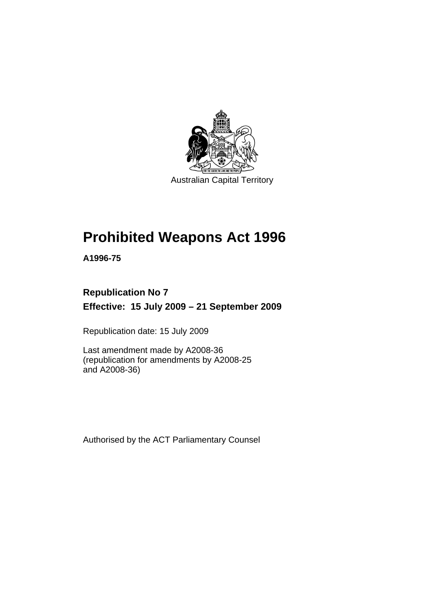

# **[Prohibited Weapons Act 1996](#page-6-0)**

**A1996-75** 

## **Republication No 7 Effective: 15 July 2009 – 21 September 2009**

Republication date: 15 July 2009

Last amendment made by A2008-36 (republication for amendments by A2008-25 and A2008-36)

Authorised by the ACT Parliamentary Counsel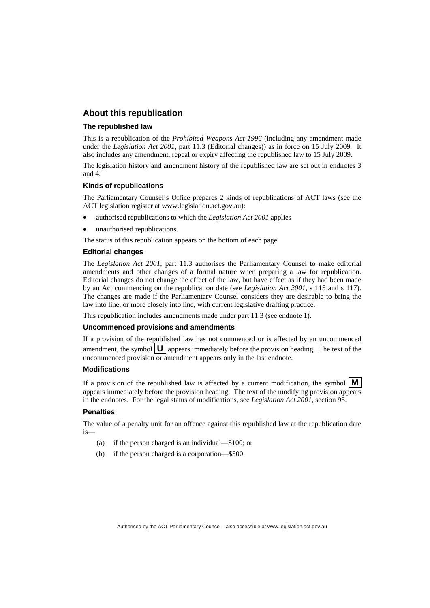#### **About this republication**

#### **The republished law**

This is a republication of the *Prohibited Weapons Act 1996* (including any amendment made under the *Legislation Act 2001*, part 11.3 (Editorial changes)) as in force on 15 July 2009*.* It also includes any amendment, repeal or expiry affecting the republished law to 15 July 2009.

The legislation history and amendment history of the republished law are set out in endnotes 3 and 4.

#### **Kinds of republications**

The Parliamentary Counsel's Office prepares 2 kinds of republications of ACT laws (see the ACT legislation register at www.legislation.act.gov.au):

- authorised republications to which the *Legislation Act 2001* applies
- unauthorised republications.

The status of this republication appears on the bottom of each page.

#### **Editorial changes**

The *Legislation Act 2001*, part 11.3 authorises the Parliamentary Counsel to make editorial amendments and other changes of a formal nature when preparing a law for republication. Editorial changes do not change the effect of the law, but have effect as if they had been made by an Act commencing on the republication date (see *Legislation Act 2001*, s 115 and s 117). The changes are made if the Parliamentary Counsel considers they are desirable to bring the law into line, or more closely into line, with current legislative drafting practice.

This republication includes amendments made under part 11.3 (see endnote 1).

#### **Uncommenced provisions and amendments**

If a provision of the republished law has not commenced or is affected by an uncommenced amendment, the symbol  $\mathbf{U}$  appears immediately before the provision heading. The text of the uncommenced provision or amendment appears only in the last endnote.

#### **Modifications**

If a provision of the republished law is affected by a current modification, the symbol  $\mathbf{M}$ appears immediately before the provision heading. The text of the modifying provision appears in the endnotes. For the legal status of modifications, see *Legislation Act 2001*, section 95.

#### **Penalties**

The value of a penalty unit for an offence against this republished law at the republication date is—

- (a) if the person charged is an individual—\$100; or
- (b) if the person charged is a corporation—\$500.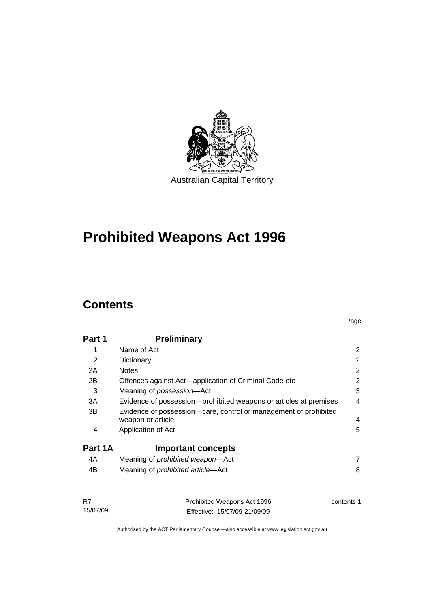

# **[Prohibited Weapons Act 1996](#page-6-0)**

# **Contents**

| Part 1  | <b>Preliminary</b>                                                                    |   |
|---------|---------------------------------------------------------------------------------------|---|
| 1       | Name of Act                                                                           | 2 |
| 2       | Dictionary                                                                            | 2 |
| 2A      | <b>Notes</b>                                                                          | 2 |
| 2B      | Offences against Act-application of Criminal Code etc                                 | 2 |
| 3       | Meaning of <i>possession</i> —Act                                                     | 3 |
| 3A      | Evidence of possession-prohibited weapons or articles at premises                     | 4 |
| 3B      | Evidence of possession-care, control or management of prohibited<br>weapon or article | 4 |
| 4       | Application of Act                                                                    | 5 |
| Part 1A | <b>Important concepts</b>                                                             |   |
| 4A      | Meaning of <i>prohibited</i> weapon-Act                                               | 7 |
| 4B      | Meaning of <i>prohibited article</i> —Act                                             | 8 |

| - R7     | Prohibited Weapons Act 1996  | contents 1 |
|----------|------------------------------|------------|
| 15/07/09 | Effective: 15/07/09-21/09/09 |            |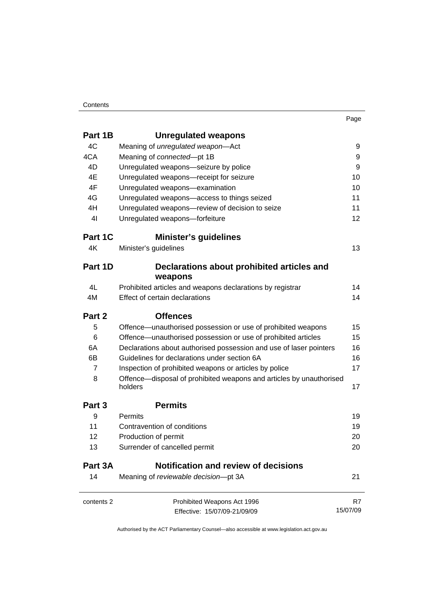#### Contents

| ×<br>٧ |
|--------|
|--------|

| Part 1B        | <b>Unregulated weapons</b>                                                     |          |
|----------------|--------------------------------------------------------------------------------|----------|
| 4C             | Meaning of unregulated weapon-Act                                              | 9        |
| 4CA            | Meaning of connected-pt 1B                                                     | 9        |
| 4D             | Unregulated weapons-seizure by police                                          | 9        |
| 4E             | Unregulated weapons-receipt for seizure                                        | 10       |
| 4F             | Unregulated weapons-examination                                                | 10       |
| 4G             | Unregulated weapons-access to things seized                                    | 11       |
| 4H             | Unregulated weapons-review of decision to seize                                | 11       |
| 4 <sub>l</sub> | Unregulated weapons-forfeiture                                                 | 12       |
| Part 1C        | <b>Minister's guidelines</b>                                                   |          |
| 4K             | Minister's guidelines                                                          | 13       |
| Part 1D        | Declarations about prohibited articles and<br>weapons                          |          |
| 4L             | Prohibited articles and weapons declarations by registrar                      | 14       |
| 4M             | Effect of certain declarations                                                 | 14       |
| Part 2         | <b>Offences</b>                                                                |          |
| 5              | Offence-unauthorised possession or use of prohibited weapons                   | 15       |
| 6              | Offence—unauthorised possession or use of prohibited articles                  | 15       |
| 6A             | Declarations about authorised possession and use of laser pointers             | 16       |
| 6B             | Guidelines for declarations under section 6A                                   | 16       |
| $\overline{7}$ | Inspection of prohibited weapons or articles by police                         | 17       |
| 8              | Offence-disposal of prohibited weapons and articles by unauthorised<br>holders | 17       |
| Part 3         | <b>Permits</b>                                                                 |          |
| 9              | Permits                                                                        | 19       |
| 11             | Contravention of conditions                                                    | 19       |
| 12             | Production of permit                                                           | 20       |
| 13             | Surrender of cancelled permit                                                  | 20       |
| Part 3A        | <b>Notification and review of decisions</b>                                    |          |
| 14             | Meaning of reviewable decision-pt 3A                                           | 21       |
| contents 2     | Prohibited Weapons Act 1996                                                    | R7       |
|                | Effective: 15/07/09-21/09/09                                                   | 15/07/09 |
|                |                                                                                |          |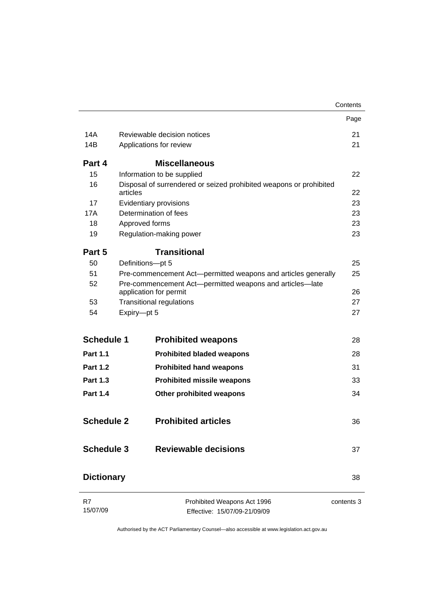|                   |                |                                                                                    | Contents   |
|-------------------|----------------|------------------------------------------------------------------------------------|------------|
|                   |                |                                                                                    | Page       |
| 14A               |                | Reviewable decision notices                                                        | 21         |
| 14B               |                | Applications for review                                                            | 21         |
| Part 4            |                | <b>Miscellaneous</b>                                                               |            |
| 15                |                | Information to be supplied                                                         | 22         |
| 16                | articles       | Disposal of surrendered or seized prohibited weapons or prohibited                 | 22         |
| 17                |                | Evidentiary provisions                                                             | 23         |
| 17A               |                | Determination of fees                                                              | 23         |
| 18                | Approved forms |                                                                                    | 23         |
| 19                |                | Regulation-making power                                                            | 23         |
| Part 5            |                | <b>Transitional</b>                                                                |            |
| 50                |                | Definitions-pt 5                                                                   | 25         |
| 51                |                | Pre-commencement Act-permitted weapons and articles generally                      | 25         |
| 52                |                | Pre-commencement Act-permitted weapons and articles-late<br>application for permit | 26         |
| 53                |                | <b>Transitional regulations</b>                                                    | 27         |
| 54                | Expiry-pt 5    |                                                                                    | 27         |
| <b>Schedule 1</b> |                | <b>Prohibited weapons</b>                                                          | 28         |
| <b>Part 1.1</b>   |                | <b>Prohibited bladed weapons</b>                                                   | 28         |
| <b>Part 1.2</b>   |                | <b>Prohibited hand weapons</b>                                                     | 31         |
| <b>Part 1.3</b>   |                | <b>Prohibited missile weapons</b>                                                  | 33         |
| <b>Part 1.4</b>   |                | Other prohibited weapons                                                           | 34         |
| <b>Schedule 2</b> |                | <b>Prohibited articles</b>                                                         | 36         |
| <b>Schedule 3</b> |                | <b>Reviewable decisions</b>                                                        | 37         |
| <b>Dictionary</b> |                |                                                                                    | 38         |
| R7                |                | Prohibited Weapons Act 1996                                                        | contents 3 |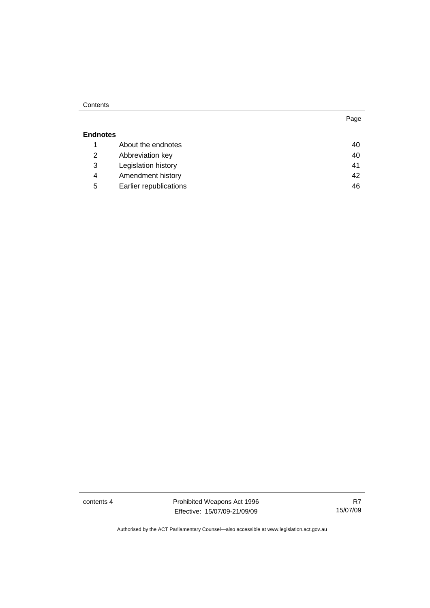#### Contents

#### **Endnotes**

|   | About the endnotes     | 40 |
|---|------------------------|----|
| 2 | Abbreviation key       | 40 |
| 3 | Legislation history    | 41 |
| 4 | Amendment history      | 42 |
| 5 | Earlier republications | 46 |

contents 4 **Prohibited Weapons Act 1996** Effective: 15/07/09-21/09/09

Page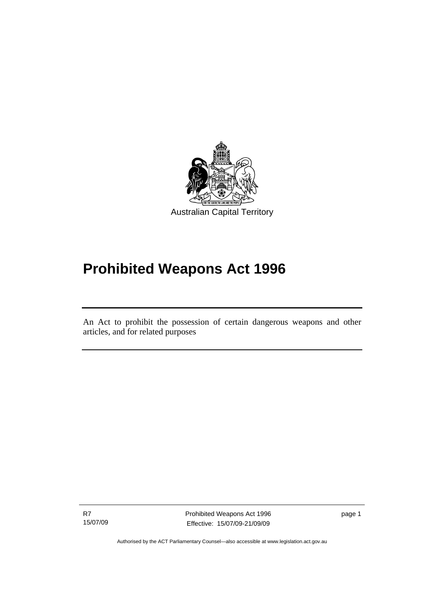<span id="page-6-0"></span>

# **Prohibited Weapons Act 1996**

An Act to prohibit the possession of certain dangerous weapons and other articles, and for related purposes

R7 15/07/09

ׇ֚֡֬

Prohibited Weapons Act 1996 Effective: 15/07/09-21/09/09

page 1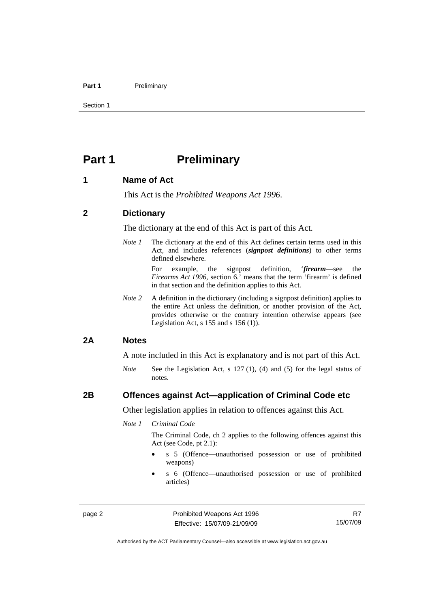#### <span id="page-7-0"></span>Part 1 **Preliminary**

Section 1

### **Part 1** Preliminary

#### **1 Name of Act**

This Act is the *Prohibited Weapons Act 1996*.

#### **2 Dictionary**

The dictionary at the end of this Act is part of this Act.

*Note 1* The dictionary at the end of this Act defines certain terms used in this Act, and includes references (*signpost definitions*) to other terms defined elsewhere.

> For example, the signpost definition, '*firearm*—see the *Firearms Act 1996*, section 6.' means that the term 'firearm' is defined in that section and the definition applies to this Act.

*Note 2* A definition in the dictionary (including a signpost definition) applies to the entire Act unless the definition, or another provision of the Act, provides otherwise or the contrary intention otherwise appears (see Legislation Act, s 155 and s 156 (1)).

#### **2A Notes**

A note included in this Act is explanatory and is not part of this Act.

*Note* See the Legislation Act, s 127 (1), (4) and (5) for the legal status of notes.

#### **2B Offences against Act—application of Criminal Code etc**

Other legislation applies in relation to offences against this Act.

*Note 1 Criminal Code*

The Criminal Code, ch 2 applies to the following offences against this Act (see Code, pt 2.1):

- s 5 (Offence—unauthorised possession or use of prohibited weapons)
- s 6 (Offence—unauthorised possession or use of prohibited articles)

page 2 **Prohibited Weapons Act 1996** Effective: 15/07/09-21/09/09

R7 15/07/09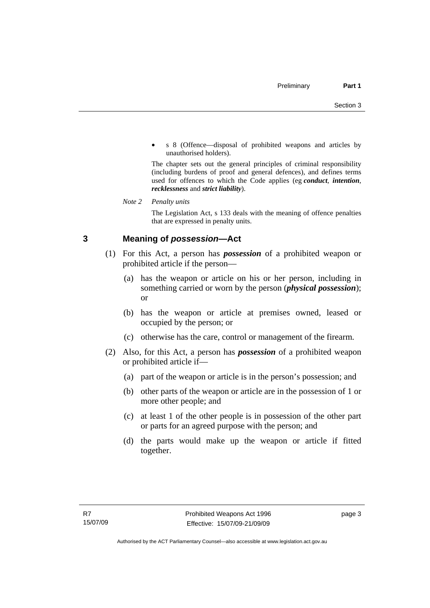<span id="page-8-0"></span>• s 8 (Offence—disposal of prohibited weapons and articles by unauthorised holders).

The chapter sets out the general principles of criminal responsibility (including burdens of proof and general defences), and defines terms used for offences to which the Code applies (eg *conduct*, *intention*, *recklessness* and *strict liability*).

*Note 2 Penalty units* 

The Legislation Act, s 133 deals with the meaning of offence penalties that are expressed in penalty units.

#### **3 Meaning of** *possession***—Act**

- (1) For this Act, a person has *possession* of a prohibited weapon or prohibited article if the person—
	- (a) has the weapon or article on his or her person, including in something carried or worn by the person (*physical possession*); or
	- (b) has the weapon or article at premises owned, leased or occupied by the person; or
	- (c) otherwise has the care, control or management of the firearm.
- (2) Also, for this Act, a person has *possession* of a prohibited weapon or prohibited article if—
	- (a) part of the weapon or article is in the person's possession; and
	- (b) other parts of the weapon or article are in the possession of 1 or more other people; and
	- (c) at least 1 of the other people is in possession of the other part or parts for an agreed purpose with the person; and
	- (d) the parts would make up the weapon or article if fitted together.

page 3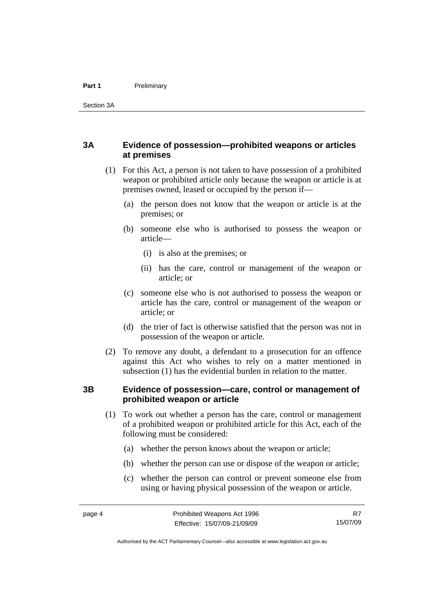#### <span id="page-9-0"></span>**3A Evidence of possession—prohibited weapons or articles at premises**

- (1) For this Act, a person is not taken to have possession of a prohibited weapon or prohibited article only because the weapon or article is at premises owned, leased or occupied by the person if—
	- (a) the person does not know that the weapon or article is at the premises; or
	- (b) someone else who is authorised to possess the weapon or article—
		- (i) is also at the premises; or
		- (ii) has the care, control or management of the weapon or article; or
	- (c) someone else who is not authorised to possess the weapon or article has the care, control or management of the weapon or article; or
	- (d) the trier of fact is otherwise satisfied that the person was not in possession of the weapon or article.
- (2) To remove any doubt, a defendant to a prosecution for an offence against this Act who wishes to rely on a matter mentioned in subsection (1) has the evidential burden in relation to the matter.

#### **3B Evidence of possession—care, control or management of prohibited weapon or article**

- (1) To work out whether a person has the care, control or management of a prohibited weapon or prohibited article for this Act, each of the following must be considered:
	- (a) whether the person knows about the weapon or article;
	- (b) whether the person can use or dispose of the weapon or article;
	- (c) whether the person can control or prevent someone else from using or having physical possession of the weapon or article.

Authorised by the ACT Parliamentary Counsel—also accessible at www.legislation.act.gov.au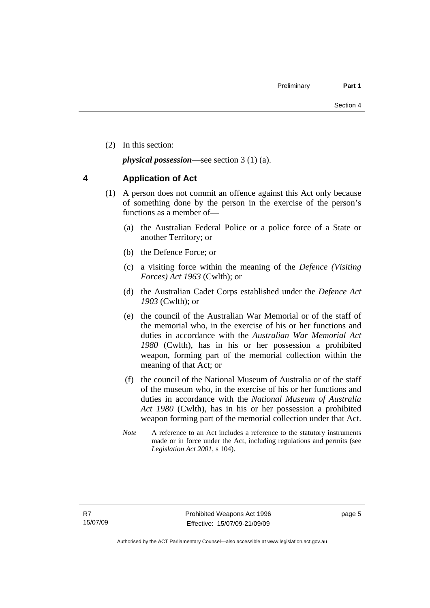<span id="page-10-0"></span>(2) In this section:

*physical possession*—see section 3 (1) (a).

#### **4 Application of Act**

- (1) A person does not commit an offence against this Act only because of something done by the person in the exercise of the person's functions as a member of—
	- (a) the Australian Federal Police or a police force of a State or another Territory; or
	- (b) the Defence Force; or
	- (c) a visiting force within the meaning of the *Defence (Visiting Forces) Act 1963* (Cwlth); or
	- (d) the Australian Cadet Corps established under the *Defence Act 1903* (Cwlth); or
	- (e) the council of the Australian War Memorial or of the staff of the memorial who, in the exercise of his or her functions and duties in accordance with the *Australian War Memorial Act 1980* (Cwlth), has in his or her possession a prohibited weapon, forming part of the memorial collection within the meaning of that Act; or
	- (f) the council of the National Museum of Australia or of the staff of the museum who, in the exercise of his or her functions and duties in accordance with the *National Museum of Australia Act 1980* (Cwlth), has in his or her possession a prohibited weapon forming part of the memorial collection under that Act.
	- *Note* A reference to an Act includes a reference to the statutory instruments made or in force under the Act, including regulations and permits (see *Legislation Act 2001*, s 104).

page 5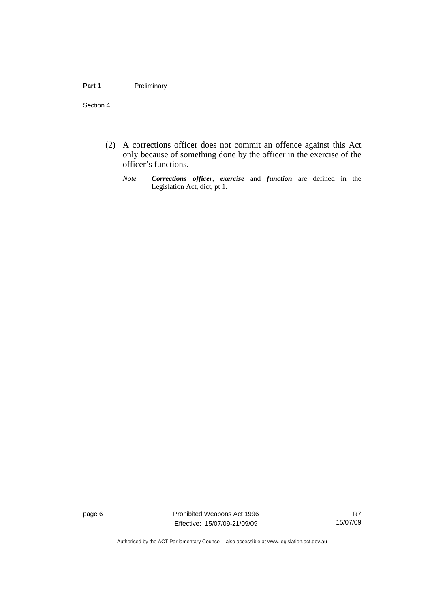#### Section 4

- (2) A corrections officer does not commit an offence against this Act only because of something done by the officer in the exercise of the officer's functions.
	- *Note Corrections officer*, *exercise* and *function* are defined in the Legislation Act, dict, pt 1.

page 6 **Prohibited Weapons Act 1996** Effective: 15/07/09-21/09/09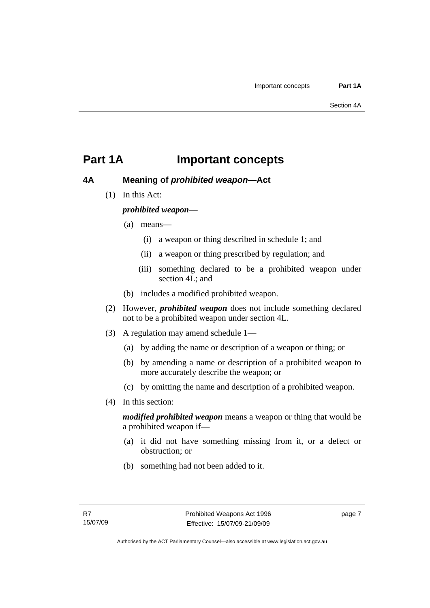### <span id="page-12-0"></span>**Part 1A Important concepts**

#### **4A Meaning of** *prohibited weapon***—Act**

(1) In this Act:

#### *prohibited weapon*—

- (a) means—
	- (i) a weapon or thing described in schedule 1; and
	- (ii) a weapon or thing prescribed by regulation; and
	- (iii) something declared to be a prohibited weapon under section 4L; and
- (b) includes a modified prohibited weapon.
- (2) However, *prohibited weapon* does not include something declared not to be a prohibited weapon under section 4L.
- (3) A regulation may amend schedule 1—
	- (a) by adding the name or description of a weapon or thing; or
	- (b) by amending a name or description of a prohibited weapon to more accurately describe the weapon; or
	- (c) by omitting the name and description of a prohibited weapon.
- (4) In this section:

*modified prohibited weapon* means a weapon or thing that would be a prohibited weapon if—

- (a) it did not have something missing from it, or a defect or obstruction; or
- (b) something had not been added to it.

page 7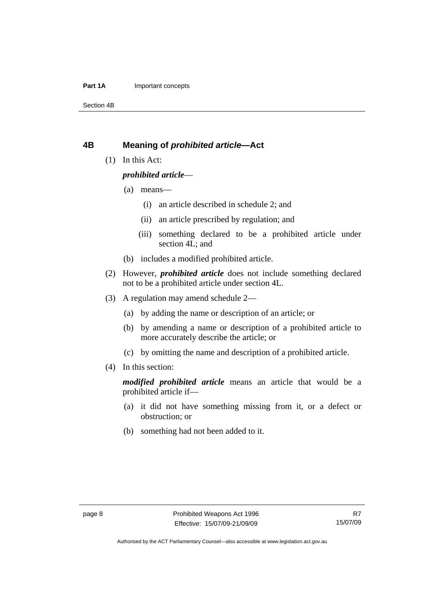#### <span id="page-13-0"></span>**Part 1A Important concepts**

Section 4B

#### **4B Meaning of** *prohibited article***—Act**

(1) In this Act:

#### *prohibited article*—

- (a) means—
	- (i) an article described in schedule 2; and
	- (ii) an article prescribed by regulation; and
	- (iii) something declared to be a prohibited article under section 4L; and
- (b) includes a modified prohibited article.
- (2) However, *prohibited article* does not include something declared not to be a prohibited article under section 4L.
- (3) A regulation may amend schedule 2—
	- (a) by adding the name or description of an article; or
	- (b) by amending a name or description of a prohibited article to more accurately describe the article; or
	- (c) by omitting the name and description of a prohibited article.
- (4) In this section:

*modified prohibited article* means an article that would be a prohibited article if—

- (a) it did not have something missing from it, or a defect or obstruction; or
- (b) something had not been added to it.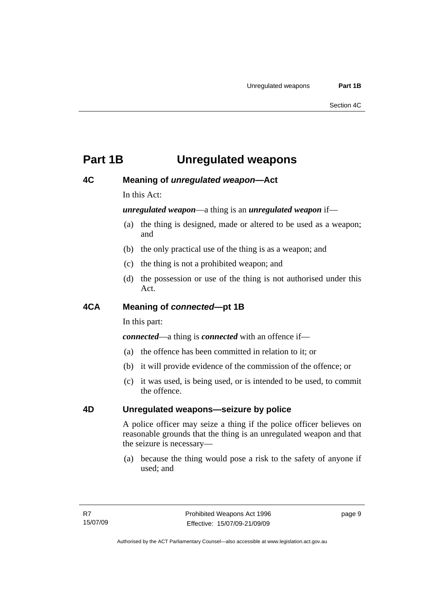### <span id="page-14-0"></span>**Part 1B Unregulated weapons**

#### **4C Meaning of** *unregulated weapon***—Act**

In this Act:

#### *unregulated weapon*—a thing is an *unregulated weapon* if—

- (a) the thing is designed, made or altered to be used as a weapon; and
- (b) the only practical use of the thing is as a weapon; and
- (c) the thing is not a prohibited weapon; and
- (d) the possession or use of the thing is not authorised under this Act.

#### **4CA Meaning of** *connected***—pt 1B**

In this part:

*connected*—a thing is *connected* with an offence if—

- (a) the offence has been committed in relation to it; or
- (b) it will provide evidence of the commission of the offence; or
- (c) it was used, is being used, or is intended to be used, to commit the offence.

#### **4D Unregulated weapons—seizure by police**

A police officer may seize a thing if the police officer believes on reasonable grounds that the thing is an unregulated weapon and that the seizure is necessary—

 (a) because the thing would pose a risk to the safety of anyone if used; and

page 9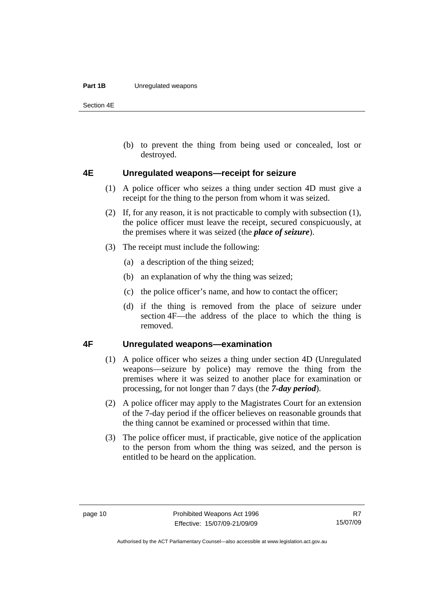#### <span id="page-15-0"></span>**Part 1B** Unregulated weapons

Section 4E

 (b) to prevent the thing from being used or concealed, lost or destroyed.

#### **4E Unregulated weapons—receipt for seizure**

- (1) A police officer who seizes a thing under section 4D must give a receipt for the thing to the person from whom it was seized.
- (2) If, for any reason, it is not practicable to comply with subsection (1), the police officer must leave the receipt, secured conspicuously, at the premises where it was seized (the *place of seizure*).
- (3) The receipt must include the following:
	- (a) a description of the thing seized;
	- (b) an explanation of why the thing was seized;
	- (c) the police officer's name, and how to contact the officer;
	- (d) if the thing is removed from the place of seizure under section 4F—the address of the place to which the thing is removed.

#### **4F Unregulated weapons—examination**

- (1) A police officer who seizes a thing under section 4D (Unregulated weapons—seizure by police) may remove the thing from the premises where it was seized to another place for examination or processing, for not longer than 7 days (the *7-day period*).
- (2) A police officer may apply to the Magistrates Court for an extension of the 7-day period if the officer believes on reasonable grounds that the thing cannot be examined or processed within that time.
- (3) The police officer must, if practicable, give notice of the application to the person from whom the thing was seized, and the person is entitled to be heard on the application.

Authorised by the ACT Parliamentary Counsel—also accessible at www.legislation.act.gov.au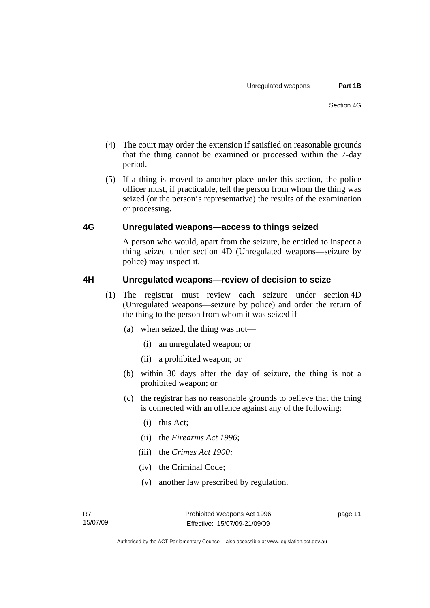- <span id="page-16-0"></span> (4) The court may order the extension if satisfied on reasonable grounds that the thing cannot be examined or processed within the 7-day period.
- (5) If a thing is moved to another place under this section, the police officer must, if practicable, tell the person from whom the thing was seized (or the person's representative) the results of the examination or processing.

#### **4G Unregulated weapons—access to things seized**

A person who would, apart from the seizure, be entitled to inspect a thing seized under section 4D (Unregulated weapons—seizure by police) may inspect it.

#### **4H Unregulated weapons—review of decision to seize**

- (1) The registrar must review each seizure under section 4D (Unregulated weapons—seizure by police) and order the return of the thing to the person from whom it was seized if—
	- (a) when seized, the thing was not—
		- (i) an unregulated weapon; or
		- (ii) a prohibited weapon; or
	- (b) within 30 days after the day of seizure, the thing is not a prohibited weapon; or
	- (c) the registrar has no reasonable grounds to believe that the thing is connected with an offence against any of the following:
		- (i) this Act;
		- (ii) the *Firearms Act 1996*;
		- (iii) the *Crimes Act 1900;*
		- (iv) the Criminal Code;
		- (v) another law prescribed by regulation.

page 11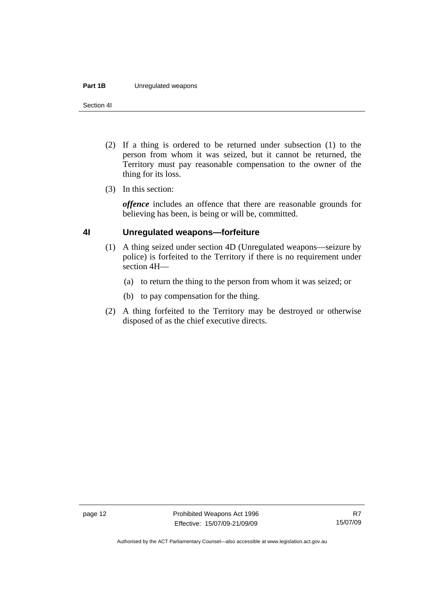#### <span id="page-17-0"></span>**Part 1B** Unregulated weapons

Section 4I

- (2) If a thing is ordered to be returned under subsection (1) to the person from whom it was seized, but it cannot be returned, the Territory must pay reasonable compensation to the owner of the thing for its loss.
- (3) In this section:

*offence* includes an offence that there are reasonable grounds for believing has been, is being or will be, committed.

#### **4I Unregulated weapons—forfeiture**

- (1) A thing seized under section 4D (Unregulated weapons—seizure by police) is forfeited to the Territory if there is no requirement under section 4H—
	- (a) to return the thing to the person from whom it was seized; or
	- (b) to pay compensation for the thing.
- (2) A thing forfeited to the Territory may be destroyed or otherwise disposed of as the chief executive directs.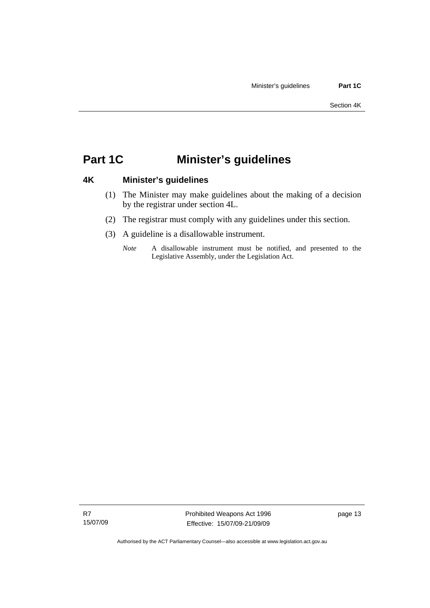# <span id="page-18-0"></span>**Part 1C Minister's guidelines**

### **4K Minister's guidelines**

- (1) The Minister may make guidelines about the making of a decision by the registrar under section 4L.
- (2) The registrar must comply with any guidelines under this section.
- (3) A guideline is a disallowable instrument.
	- *Note* A disallowable instrument must be notified, and presented to the Legislative Assembly, under the Legislation Act.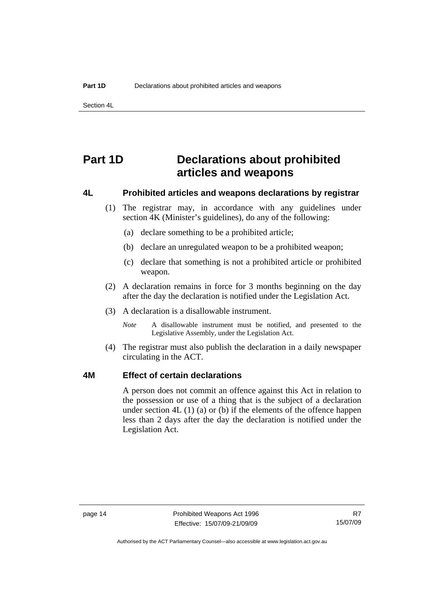<span id="page-19-0"></span>Section 4L

# **Part 1D Declarations about prohibited articles and weapons**

#### **4L Prohibited articles and weapons declarations by registrar**

- (1) The registrar may, in accordance with any guidelines under section 4K (Minister's guidelines), do any of the following:
	- (a) declare something to be a prohibited article;
	- (b) declare an unregulated weapon to be a prohibited weapon;
	- (c) declare that something is not a prohibited article or prohibited weapon.
- (2) A declaration remains in force for 3 months beginning on the day after the day the declaration is notified under the Legislation Act.
- (3) A declaration is a disallowable instrument.

*Note* A disallowable instrument must be notified, and presented to the Legislative Assembly, under the Legislation Act.

 (4) The registrar must also publish the declaration in a daily newspaper circulating in the ACT.

#### **4M Effect of certain declarations**

A person does not commit an offence against this Act in relation to the possession or use of a thing that is the subject of a declaration under section  $4L(1)(a)$  or (b) if the elements of the offence happen less than 2 days after the day the declaration is notified under the Legislation Act.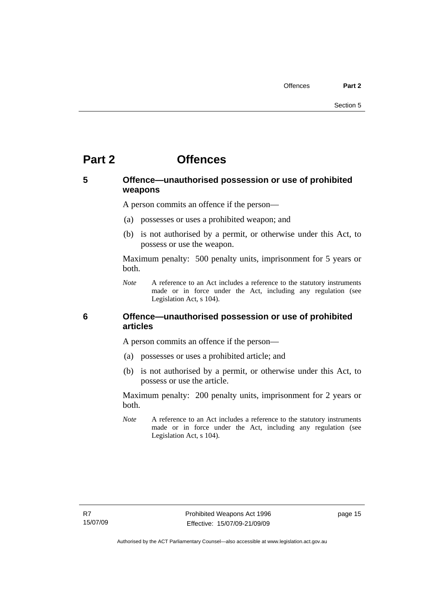### <span id="page-20-0"></span>**Part 2 Offences**

#### **5 Offence—unauthorised possession or use of prohibited weapons**

A person commits an offence if the person—

- (a) possesses or uses a prohibited weapon; and
- (b) is not authorised by a permit, or otherwise under this Act, to possess or use the weapon.

Maximum penalty: 500 penalty units, imprisonment for 5 years or both.

*Note* A reference to an Act includes a reference to the statutory instruments made or in force under the Act, including any regulation (see Legislation Act, s 104).

#### **6 Offence—unauthorised possession or use of prohibited articles**

A person commits an offence if the person—

- (a) possesses or uses a prohibited article; and
- (b) is not authorised by a permit, or otherwise under this Act, to possess or use the article.

Maximum penalty: 200 penalty units, imprisonment for 2 years or both.

*Note* A reference to an Act includes a reference to the statutory instruments made or in force under the Act, including any regulation (see Legislation Act, s 104).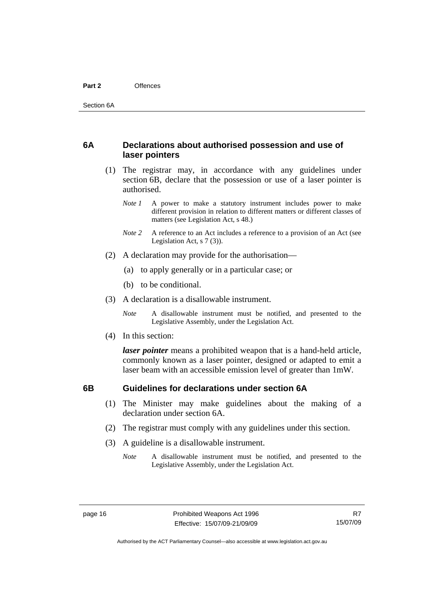#### <span id="page-21-0"></span>**6A Declarations about authorised possession and use of laser pointers**

- (1) The registrar may, in accordance with any guidelines under section 6B, declare that the possession or use of a laser pointer is authorised.
	- *Note 1* A power to make a statutory instrument includes power to make different provision in relation to different matters or different classes of matters (see Legislation Act, s 48.)
	- *Note 2* A reference to an Act includes a reference to a provision of an Act (see Legislation Act, s 7 (3)).
- (2) A declaration may provide for the authorisation—
	- (a) to apply generally or in a particular case; or
	- (b) to be conditional.
- (3) A declaration is a disallowable instrument.

*Note* A disallowable instrument must be notified, and presented to the Legislative Assembly, under the Legislation Act.

(4) In this section:

*laser pointer* means a prohibited weapon that is a hand-held article, commonly known as a laser pointer, designed or adapted to emit a laser beam with an accessible emission level of greater than 1mW.

#### **6B Guidelines for declarations under section 6A**

- (1) The Minister may make guidelines about the making of a declaration under section 6A.
- (2) The registrar must comply with any guidelines under this section.
- (3) A guideline is a disallowable instrument.
	- *Note* A disallowable instrument must be notified, and presented to the Legislative Assembly, under the Legislation Act.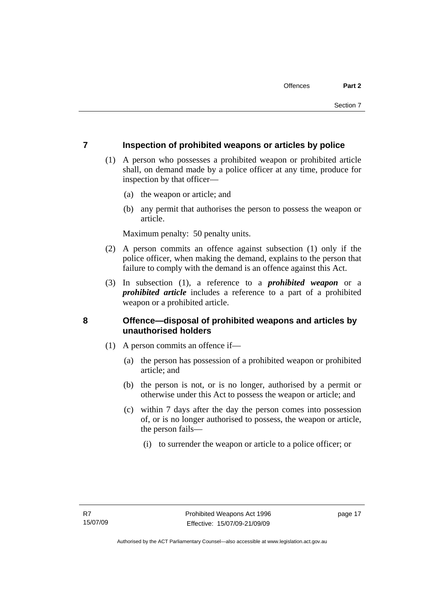#### <span id="page-22-0"></span>**7 Inspection of prohibited weapons or articles by police**

- (1) A person who possesses a prohibited weapon or prohibited article shall, on demand made by a police officer at any time, produce for inspection by that officer—
	- (a) the weapon or article; and
	- (b) any permit that authorises the person to possess the weapon or article.

Maximum penalty: 50 penalty units.

- (2) A person commits an offence against subsection (1) only if the police officer, when making the demand, explains to the person that failure to comply with the demand is an offence against this Act.
- (3) In subsection (1), a reference to a *prohibited weapon* or a *prohibited article* includes a reference to a part of a prohibited weapon or a prohibited article.

#### **8 Offence—disposal of prohibited weapons and articles by unauthorised holders**

- (1) A person commits an offence if—
	- (a) the person has possession of a prohibited weapon or prohibited article; and
	- (b) the person is not, or is no longer, authorised by a permit or otherwise under this Act to possess the weapon or article; and
	- (c) within 7 days after the day the person comes into possession of, or is no longer authorised to possess, the weapon or article, the person fails—
		- (i) to surrender the weapon or article to a police officer; or

page 17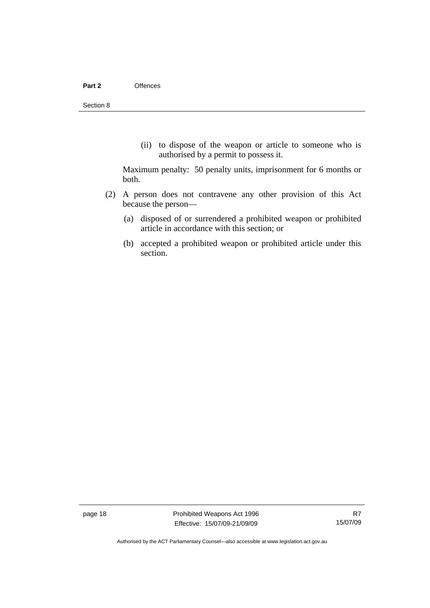(ii) to dispose of the weapon or article to someone who is authorised by a permit to possess it.

Maximum penalty: 50 penalty units, imprisonment for 6 months or both.

- (2) A person does not contravene any other provision of this Act because the person—
	- (a) disposed of or surrendered a prohibited weapon or prohibited article in accordance with this section; or
	- (b) accepted a prohibited weapon or prohibited article under this section.

page 18 **Prohibited Weapons Act 1996** Effective: 15/07/09-21/09/09

R7 15/07/09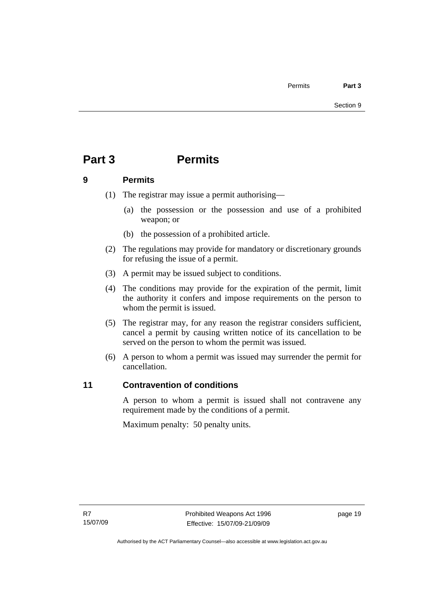# <span id="page-24-0"></span>**Part 3 Permits**

#### **9 Permits**

- (1) The registrar may issue a permit authorising—
	- (a) the possession or the possession and use of a prohibited weapon; or
	- (b) the possession of a prohibited article.
- (2) The regulations may provide for mandatory or discretionary grounds for refusing the issue of a permit.
- (3) A permit may be issued subject to conditions.
- (4) The conditions may provide for the expiration of the permit, limit the authority it confers and impose requirements on the person to whom the permit is issued.
- (5) The registrar may, for any reason the registrar considers sufficient, cancel a permit by causing written notice of its cancellation to be served on the person to whom the permit was issued.
- (6) A person to whom a permit was issued may surrender the permit for cancellation.

### **11 Contravention of conditions**

A person to whom a permit is issued shall not contravene any requirement made by the conditions of a permit.

Maximum penalty: 50 penalty units.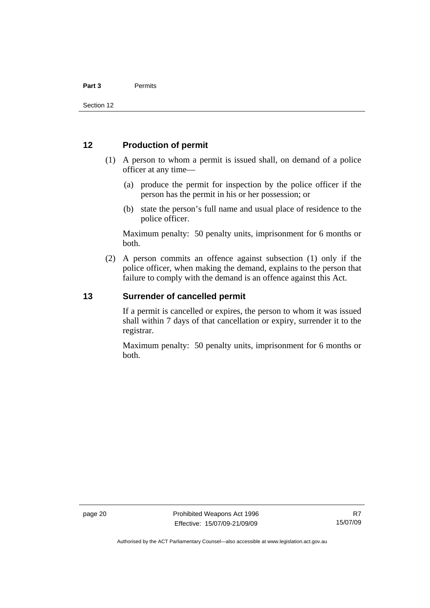#### <span id="page-25-0"></span>**12 Production of permit**

- (1) A person to whom a permit is issued shall, on demand of a police officer at any time—
	- (a) produce the permit for inspection by the police officer if the person has the permit in his or her possession; or
	- (b) state the person's full name and usual place of residence to the police officer.

Maximum penalty: 50 penalty units, imprisonment for 6 months or both.

 (2) A person commits an offence against subsection (1) only if the police officer, when making the demand, explains to the person that failure to comply with the demand is an offence against this Act.

#### **13 Surrender of cancelled permit**

If a permit is cancelled or expires, the person to whom it was issued shall within 7 days of that cancellation or expiry, surrender it to the registrar.

Maximum penalty: 50 penalty units, imprisonment for 6 months or both.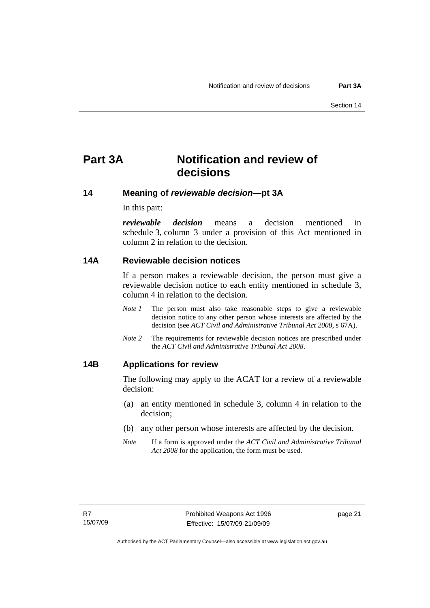# <span id="page-26-0"></span>**Part 3A Notification and review of decisions**

**14 Meaning of** *reviewable decision—***pt 3A** 

In this part:

*reviewable decision* means a decision mentioned in schedule 3, column 3 under a provision of this Act mentioned in column 2 in relation to the decision.

#### **14A Reviewable decision notices**

If a person makes a reviewable decision, the person must give a reviewable decision notice to each entity mentioned in schedule 3, column 4 in relation to the decision.

- *Note 1* The person must also take reasonable steps to give a reviewable decision notice to any other person whose interests are affected by the decision (see *ACT Civil and Administrative Tribunal Act 2008*, s 67A).
- *Note 2* The requirements for reviewable decision notices are prescribed under the *ACT Civil and Administrative Tribunal Act 2008*.

#### **14B Applications for review**

The following may apply to the ACAT for a review of a reviewable decision:

- (a) an entity mentioned in schedule 3, column 4 in relation to the decision;
- (b) any other person whose interests are affected by the decision.
- *Note* If a form is approved under the *ACT Civil and Administrative Tribunal Act 2008* for the application, the form must be used.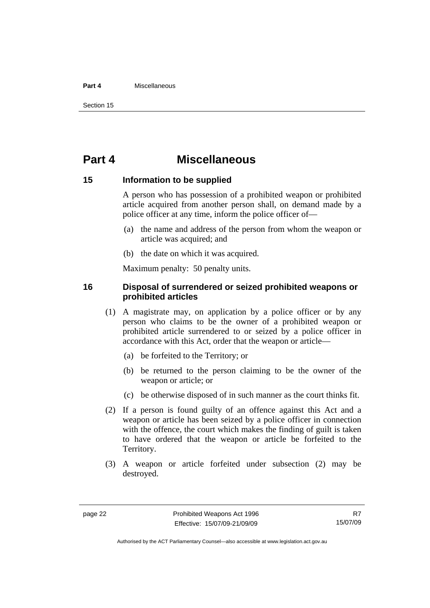#### <span id="page-27-0"></span>**Part 4** Miscellaneous

Section 15

### **Part 4 Miscellaneous**

#### **15 Information to be supplied**

A person who has possession of a prohibited weapon or prohibited article acquired from another person shall, on demand made by a police officer at any time, inform the police officer of—

- (a) the name and address of the person from whom the weapon or article was acquired; and
- (b) the date on which it was acquired.

Maximum penalty: 50 penalty units.

#### **16 Disposal of surrendered or seized prohibited weapons or prohibited articles**

- (1) A magistrate may, on application by a police officer or by any person who claims to be the owner of a prohibited weapon or prohibited article surrendered to or seized by a police officer in accordance with this Act, order that the weapon or article—
	- (a) be forfeited to the Territory; or
	- (b) be returned to the person claiming to be the owner of the weapon or article; or
	- (c) be otherwise disposed of in such manner as the court thinks fit.
- (2) If a person is found guilty of an offence against this Act and a weapon or article has been seized by a police officer in connection with the offence, the court which makes the finding of guilt is taken to have ordered that the weapon or article be forfeited to the Territory.
- (3) A weapon or article forfeited under subsection (2) may be destroyed.

Authorised by the ACT Parliamentary Counsel—also accessible at www.legislation.act.gov.au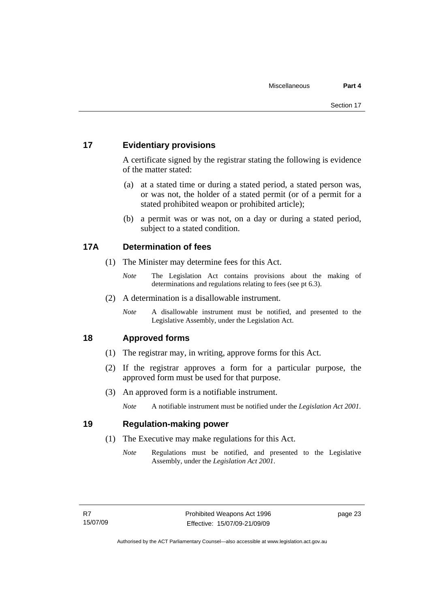#### <span id="page-28-0"></span>**17 Evidentiary provisions**

A certificate signed by the registrar stating the following is evidence of the matter stated:

- (a) at a stated time or during a stated period, a stated person was, or was not, the holder of a stated permit (or of a permit for a stated prohibited weapon or prohibited article);
- (b) a permit was or was not, on a day or during a stated period, subject to a stated condition.

#### **17A Determination of fees**

- (1) The Minister may determine fees for this Act.
	- *Note* The Legislation Act contains provisions about the making of determinations and regulations relating to fees (see pt 6.3).
- (2) A determination is a disallowable instrument.
	- *Note* A disallowable instrument must be notified, and presented to the Legislative Assembly, under the Legislation Act.

#### **18 Approved forms**

- (1) The registrar may, in writing, approve forms for this Act.
- (2) If the registrar approves a form for a particular purpose, the approved form must be used for that purpose.
- (3) An approved form is a notifiable instrument.

*Note* A notifiable instrument must be notified under the *Legislation Act 2001*.

#### **19 Regulation-making power**

- (1) The Executive may make regulations for this Act.
	- *Note* Regulations must be notified, and presented to the Legislative Assembly, under the *Legislation Act 2001*.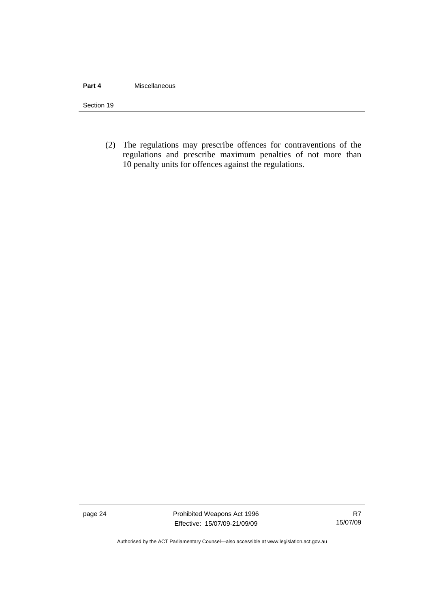#### **Part 4** Miscellaneous

Section 19

 (2) The regulations may prescribe offences for contraventions of the regulations and prescribe maximum penalties of not more than 10 penalty units for offences against the regulations.

page 24 Prohibited Weapons Act 1996 Effective: 15/07/09-21/09/09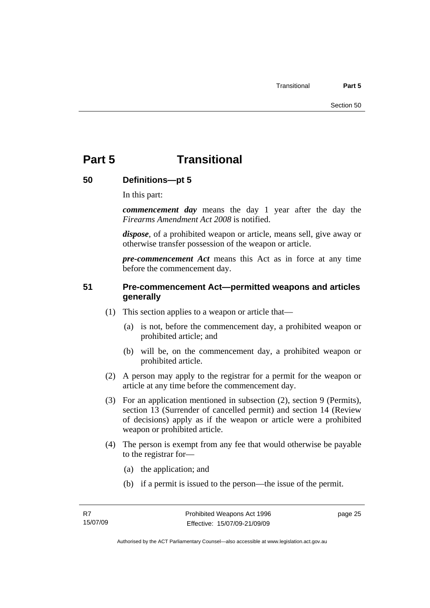# <span id="page-30-0"></span>**Part 5 Transitional**

#### **50 Definitions—pt 5**

In this part:

*commencement day* means the day 1 year after the day the *Firearms Amendment Act 2008* is notified.

*dispose*, of a prohibited weapon or article, means sell, give away or otherwise transfer possession of the weapon or article.

*pre-commencement Act* means this Act as in force at any time before the commencement day.

#### **51 Pre-commencement Act—permitted weapons and articles generally**

- (1) This section applies to a weapon or article that—
	- (a) is not, before the commencement day, a prohibited weapon or prohibited article; and
	- (b) will be, on the commencement day, a prohibited weapon or prohibited article.
- (2) A person may apply to the registrar for a permit for the weapon or article at any time before the commencement day.
- (3) For an application mentioned in subsection (2), section 9 (Permits), section 13 (Surrender of cancelled permit) and section 14 (Review of decisions) apply as if the weapon or article were a prohibited weapon or prohibited article.
- (4) The person is exempt from any fee that would otherwise be payable to the registrar for—
	- (a) the application; and
	- (b) if a permit is issued to the person—the issue of the permit.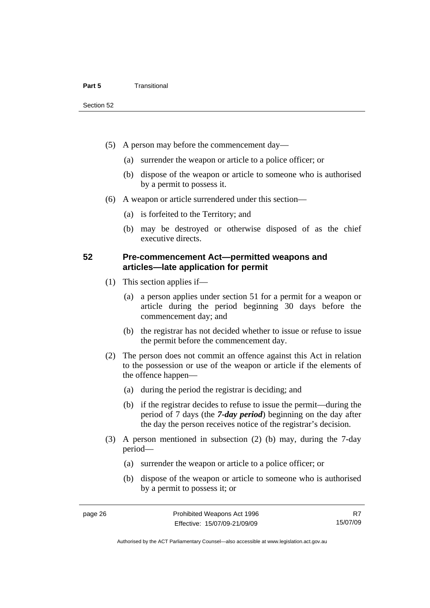- <span id="page-31-0"></span> (5) A person may before the commencement day—
	- (a) surrender the weapon or article to a police officer; or
	- (b) dispose of the weapon or article to someone who is authorised by a permit to possess it.
- (6) A weapon or article surrendered under this section—
	- (a) is forfeited to the Territory; and
	- (b) may be destroyed or otherwise disposed of as the chief executive directs.

#### **52 Pre-commencement Act—permitted weapons and articles—late application for permit**

- (1) This section applies if—
	- (a) a person applies under section 51 for a permit for a weapon or article during the period beginning 30 days before the commencement day; and
	- (b) the registrar has not decided whether to issue or refuse to issue the permit before the commencement day.
- (2) The person does not commit an offence against this Act in relation to the possession or use of the weapon or article if the elements of the offence happen—
	- (a) during the period the registrar is deciding; and
	- (b) if the registrar decides to refuse to issue the permit—during the period of 7 days (the *7-day period*) beginning on the day after the day the person receives notice of the registrar's decision.
- (3) A person mentioned in subsection (2) (b) may, during the 7-day period—
	- (a) surrender the weapon or article to a police officer; or
	- (b) dispose of the weapon or article to someone who is authorised by a permit to possess it; or

R7 15/07/09

Authorised by the ACT Parliamentary Counsel—also accessible at www.legislation.act.gov.au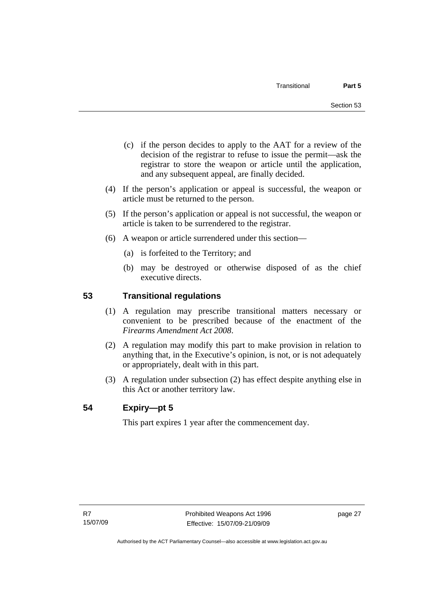- <span id="page-32-0"></span> (c) if the person decides to apply to the AAT for a review of the decision of the registrar to refuse to issue the permit—ask the registrar to store the weapon or article until the application, and any subsequent appeal, are finally decided.
- (4) If the person's application or appeal is successful, the weapon or article must be returned to the person.
- (5) If the person's application or appeal is not successful, the weapon or article is taken to be surrendered to the registrar.
- (6) A weapon or article surrendered under this section—
	- (a) is forfeited to the Territory; and
	- (b) may be destroyed or otherwise disposed of as the chief executive directs.

#### **53 Transitional regulations**

- (1) A regulation may prescribe transitional matters necessary or convenient to be prescribed because of the enactment of the *Firearms Amendment Act 2008*.
- (2) A regulation may modify this part to make provision in relation to anything that, in the Executive's opinion, is not, or is not adequately or appropriately, dealt with in this part.
- (3) A regulation under subsection (2) has effect despite anything else in this Act or another territory law.

#### **54 Expiry—pt 5**

This part expires 1 year after the commencement day.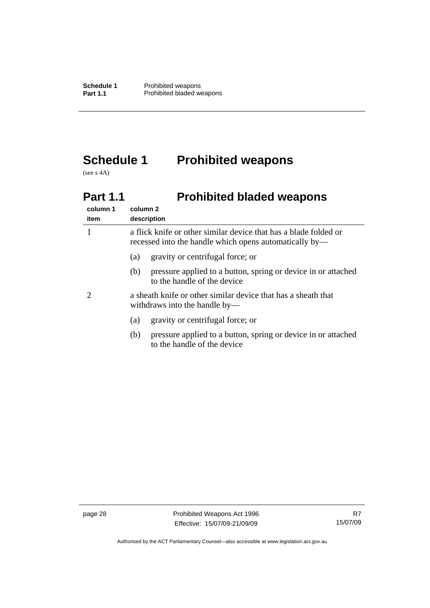# <span id="page-33-0"></span>**Schedule 1 Prohibited weapons**

(see s 4A)

# **Part 1.1** Prohibited bladed weapons

| column 1<br>item | column 2<br>description                                                                                                    |  |  |  |
|------------------|----------------------------------------------------------------------------------------------------------------------------|--|--|--|
|                  | a flick knife or other similar device that has a blade folded or<br>recessed into the handle which opens automatically by— |  |  |  |
|                  | gravity or centrifugal force; or<br>(a)                                                                                    |  |  |  |
|                  | pressure applied to a button, spring or device in or attached<br>(b)<br>to the handle of the device                        |  |  |  |
|                  | a sheath knife or other similar device that has a sheath that<br>withdraws into the handle by—                             |  |  |  |
|                  | gravity or centrifugal force; or<br>(a)                                                                                    |  |  |  |
|                  | pressure applied to a button, spring or device in or attached<br>(b)<br>to the handle of the device                        |  |  |  |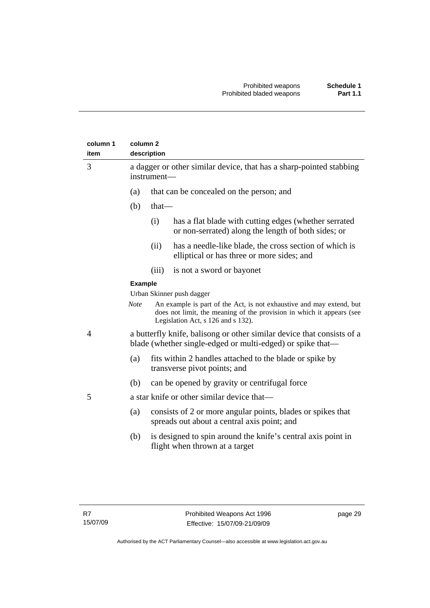| column 1<br>item | column <sub>2</sub><br>description |                                                                                                                                      |                                                                                                                                                                                     |
|------------------|------------------------------------|--------------------------------------------------------------------------------------------------------------------------------------|-------------------------------------------------------------------------------------------------------------------------------------------------------------------------------------|
| 3                |                                    | a dagger or other similar device, that has a sharp-pointed stabbing<br>instrument-                                                   |                                                                                                                                                                                     |
|                  | (a)                                |                                                                                                                                      | that can be concealed on the person; and                                                                                                                                            |
|                  | (b)                                | $that$ —                                                                                                                             |                                                                                                                                                                                     |
|                  |                                    | (i)                                                                                                                                  | has a flat blade with cutting edges (whether serrated<br>or non-serrated) along the length of both sides; or                                                                        |
|                  |                                    | (ii)                                                                                                                                 | has a needle-like blade, the cross section of which is<br>elliptical or has three or more sides; and                                                                                |
|                  |                                    | (iii)                                                                                                                                | is not a sword or bayonet                                                                                                                                                           |
|                  | <b>Example</b>                     |                                                                                                                                      |                                                                                                                                                                                     |
|                  |                                    | Urban Skinner push dagger                                                                                                            |                                                                                                                                                                                     |
|                  | <b>Note</b>                        |                                                                                                                                      | An example is part of the Act, is not exhaustive and may extend, but<br>does not limit, the meaning of the provision in which it appears (see<br>Legislation Act, s 126 and s 132). |
| 4                |                                    | a butterfly knife, balisong or other similar device that consists of a<br>blade (whether single-edged or multi-edged) or spike that— |                                                                                                                                                                                     |
|                  | (a)                                |                                                                                                                                      | fits within 2 handles attached to the blade or spike by<br>transverse pivot points; and                                                                                             |
|                  | (b)                                |                                                                                                                                      | can be opened by gravity or centrifugal force                                                                                                                                       |
| 5                |                                    |                                                                                                                                      | a star knife or other similar device that—                                                                                                                                          |
|                  | (a)                                |                                                                                                                                      | consists of 2 or more angular points, blades or spikes that<br>spreads out about a central axis point; and                                                                          |
|                  | (b)                                |                                                                                                                                      | is designed to spin around the knife's central axis point in<br>flight when thrown at a target                                                                                      |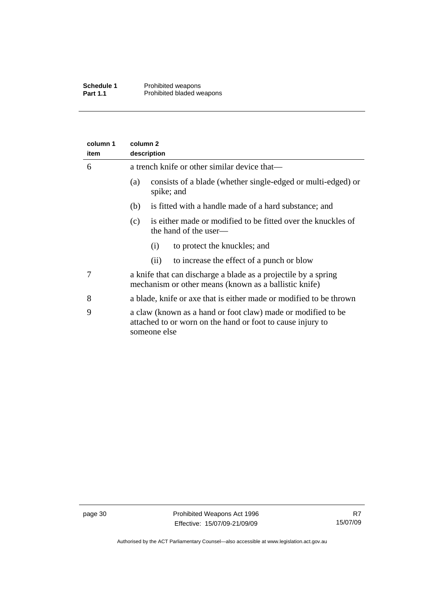| column 1<br>item | column <sub>2</sub><br>description                                                                                                         |  |  |
|------------------|--------------------------------------------------------------------------------------------------------------------------------------------|--|--|
| 6                | a trench knife or other similar device that—                                                                                               |  |  |
|                  | consists of a blade (whether single-edged or multi-edged) or<br>(a)<br>spike; and                                                          |  |  |
|                  | (b)<br>is fitted with a handle made of a hard substance; and                                                                               |  |  |
|                  | is either made or modified to be fitted over the knuckles of<br>(c)<br>the hand of the user—                                               |  |  |
|                  | to protect the knuckles; and<br>(i)                                                                                                        |  |  |
|                  | to increase the effect of a punch or blow<br>(ii)                                                                                          |  |  |
| 7                | a knife that can discharge a blade as a projectile by a spring<br>mechanism or other means (known as a ballistic knife)                    |  |  |
| 8                | a blade, knife or axe that is either made or modified to be thrown                                                                         |  |  |
| 9                | a claw (known as a hand or foot claw) made or modified to be<br>attached to or worn on the hand or foot to cause injury to<br>someone else |  |  |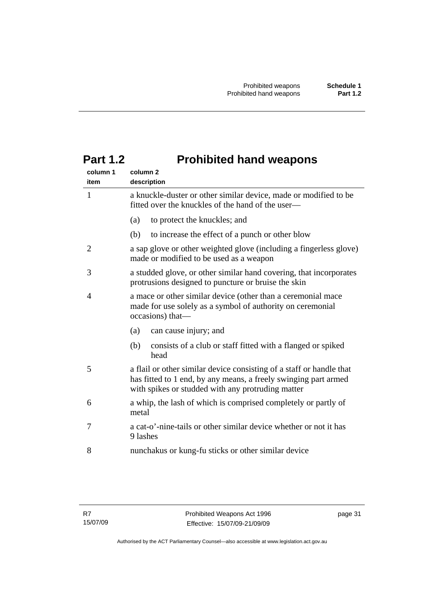| column 1<br>item | column <sub>2</sub><br>description                                                                                                                                                           |  |
|------------------|----------------------------------------------------------------------------------------------------------------------------------------------------------------------------------------------|--|
| $\mathbf{1}$     | a knuckle-duster or other similar device, made or modified to be<br>fitted over the knuckles of the hand of the user—                                                                        |  |
|                  | to protect the knuckles; and<br>(a)                                                                                                                                                          |  |
|                  | to increase the effect of a punch or other blow<br>(b)                                                                                                                                       |  |
| 2                | a sap glove or other weighted glove (including a fingerless glove)<br>made or modified to be used as a weapon                                                                                |  |
| 3                | a studded glove, or other similar hand covering, that incorporates<br>protrusions designed to puncture or bruise the skin                                                                    |  |
| 4                | a mace or other similar device (other than a ceremonial mace<br>made for use solely as a symbol of authority on ceremonial<br>occasions) that-                                               |  |
|                  | (a)<br>can cause injury; and                                                                                                                                                                 |  |
|                  | consists of a club or staff fitted with a flanged or spiked<br>(b)<br>head                                                                                                                   |  |
| 5                | a flail or other similar device consisting of a staff or handle that<br>has fitted to 1 end, by any means, a freely swinging part armed<br>with spikes or studded with any protruding matter |  |
| 6                | a whip, the lash of which is comprised completely or partly of<br>metal                                                                                                                      |  |
| 7                | a cat-o'-nine-tails or other similar device whether or not it has<br>9 lashes                                                                                                                |  |
| 8                | nunchakus or kung-fu sticks or other similar device                                                                                                                                          |  |

# <span id="page-36-0"></span>**Part 1.2 Prohibited hand weapons**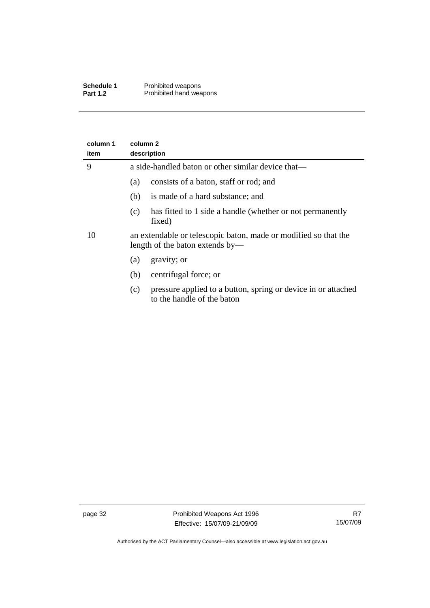| Schedule 1      | Prohibited weapons      |
|-----------------|-------------------------|
| <b>Part 1.2</b> | Prohibited hand weapons |

| column 1<br>item | column 2<br>description                                                                            |  |
|------------------|----------------------------------------------------------------------------------------------------|--|
| 9                | a side-handled baton or other similar device that—                                                 |  |
|                  | consists of a baton, staff or rod; and<br>(a)                                                      |  |
|                  | is made of a hard substance; and<br>(b)                                                            |  |
|                  | has fitted to 1 side a handle (whether or not permanently<br>(c)<br>fixed)                         |  |
| 10               | an extendable or telescopic baton, made or modified so that the<br>length of the baton extends by— |  |
|                  | gravity; or<br>(a)                                                                                 |  |
|                  | centrifugal force; or<br>(b)                                                                       |  |
|                  | pressure applied to a button, spring or device in or attached<br>(c)<br>to the handle of the baton |  |
|                  |                                                                                                    |  |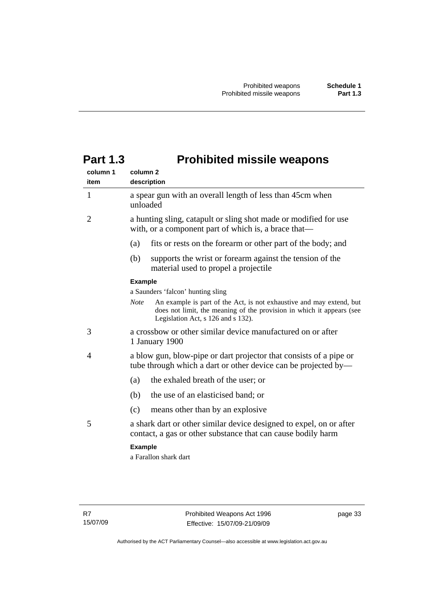<span id="page-38-0"></span>

| column 1<br>item | column <sub>2</sub><br>description                                                                                                                                                                 |  |  |
|------------------|----------------------------------------------------------------------------------------------------------------------------------------------------------------------------------------------------|--|--|
| $\mathbf{1}$     | a spear gun with an overall length of less than 45cm when<br>unloaded                                                                                                                              |  |  |
| $\overline{2}$   | a hunting sling, catapult or sling shot made or modified for use<br>with, or a component part of which is, a brace that—                                                                           |  |  |
|                  | fits or rests on the forearm or other part of the body; and<br>(a)                                                                                                                                 |  |  |
|                  | (b)<br>supports the wrist or forearm against the tension of the<br>material used to propel a projectile                                                                                            |  |  |
|                  | <b>Example</b>                                                                                                                                                                                     |  |  |
|                  | a Saunders 'falcon' hunting sling                                                                                                                                                                  |  |  |
|                  | <b>Note</b><br>An example is part of the Act, is not exhaustive and may extend, but<br>does not limit, the meaning of the provision in which it appears (see<br>Legislation Act, s 126 and s 132). |  |  |
| 3                | a crossbow or other similar device manufactured on or after<br>1 January 1900                                                                                                                      |  |  |
| 4                | a blow gun, blow-pipe or dart projector that consists of a pipe or<br>tube through which a dart or other device can be projected by—                                                               |  |  |
|                  | the exhaled breath of the user; or<br>(a)                                                                                                                                                          |  |  |
|                  | the use of an elasticised band; or<br>(b)                                                                                                                                                          |  |  |
|                  | (c)<br>means other than by an explosive                                                                                                                                                            |  |  |
| 5                | a shark dart or other similar device designed to expel, on or after<br>contact, a gas or other substance that can cause bodily harm                                                                |  |  |
|                  | <b>Example</b>                                                                                                                                                                                     |  |  |
|                  |                                                                                                                                                                                                    |  |  |

a Farallon shark dart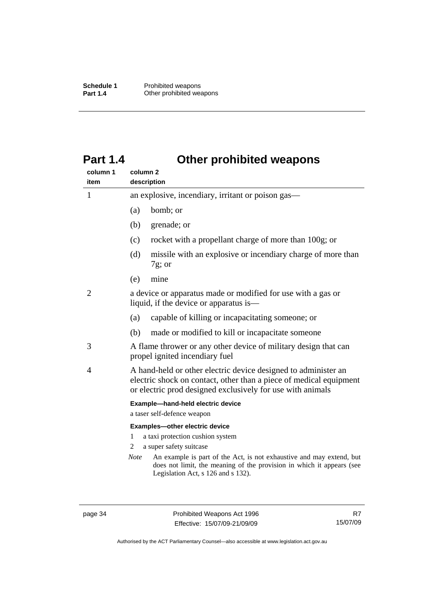# <span id="page-39-0"></span>**Part 1.4 Other prohibited weapons**

| column 1<br>item | column <sub>2</sub><br>description                                                                                                                                                                 |  |  |  |
|------------------|----------------------------------------------------------------------------------------------------------------------------------------------------------------------------------------------------|--|--|--|
| 1                | an explosive, incendiary, irritant or poison gas—                                                                                                                                                  |  |  |  |
|                  | bomb; or<br>(a)                                                                                                                                                                                    |  |  |  |
|                  | (b)<br>grenade; or                                                                                                                                                                                 |  |  |  |
|                  | rocket with a propellant charge of more than 100g; or<br>(c)                                                                                                                                       |  |  |  |
|                  | missile with an explosive or incendiary charge of more than<br>(d)<br>$7g$ ; or                                                                                                                    |  |  |  |
|                  | mine<br>(e)                                                                                                                                                                                        |  |  |  |
| 2                | a device or apparatus made or modified for use with a gas or<br>liquid, if the device or apparatus is—                                                                                             |  |  |  |
|                  | (a)<br>capable of killing or incapacitating someone; or                                                                                                                                            |  |  |  |
|                  | made or modified to kill or incapacitate someone<br>(b)                                                                                                                                            |  |  |  |
| 3                | A flame thrower or any other device of military design that can<br>propel ignited incendiary fuel                                                                                                  |  |  |  |
| 4                | A hand-held or other electric device designed to administer an<br>electric shock on contact, other than a piece of medical equipment<br>or electric prod designed exclusively for use with animals |  |  |  |
|                  | Example-hand-held electric device<br>a taser self-defence weapon                                                                                                                                   |  |  |  |
|                  | Examples-other electric device                                                                                                                                                                     |  |  |  |
|                  | a taxi protection cushion system<br>1                                                                                                                                                              |  |  |  |
|                  | a super safety suitcase<br>2                                                                                                                                                                       |  |  |  |
|                  | An example is part of the Act, is not exhaustive and may extend, but<br><b>Note</b><br>does not limit, the meaning of the provision in which it appears (see                                       |  |  |  |

page 34 Prohibited Weapons Act 1996 Effective: 15/07/09-21/09/09

Legislation Act, s 126 and s 132).

R7 15/07/09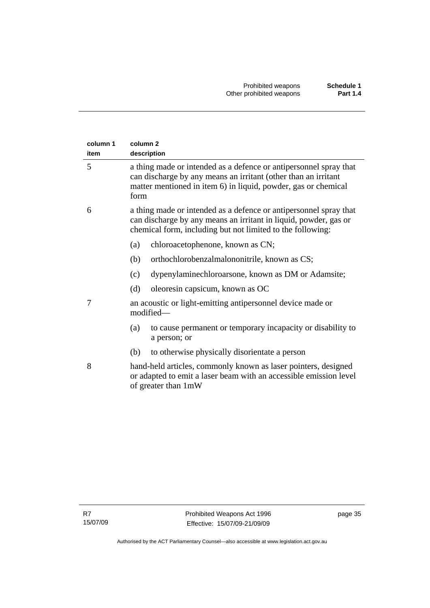| column 1 | column <sub>2</sub>                                                                                                                                                                                           |  |  |  |
|----------|---------------------------------------------------------------------------------------------------------------------------------------------------------------------------------------------------------------|--|--|--|
| item     | description                                                                                                                                                                                                   |  |  |  |
| 5        | a thing made or intended as a defence or antipersonnel spray that<br>can discharge by any means an irritant (other than an irritant<br>matter mentioned in item 6) in liquid, powder, gas or chemical<br>form |  |  |  |
| 6        | a thing made or intended as a defence or antipersonnel spray that<br>can discharge by any means an irritant in liquid, powder, gas or<br>chemical form, including but not limited to the following:           |  |  |  |
|          | (a)<br>chloroacetophenone, known as CN;                                                                                                                                                                       |  |  |  |
|          | (b)<br>orthochlorobenzalmalononitrile, known as CS;                                                                                                                                                           |  |  |  |
|          | dypenylaminechloroarsone, known as DM or Adamsite;<br>(c)                                                                                                                                                     |  |  |  |
|          | oleoresin capsicum, known as OC<br>(d)                                                                                                                                                                        |  |  |  |
| 7        | an acoustic or light-emitting antipersonnel device made or<br>modified-                                                                                                                                       |  |  |  |
|          | to cause permanent or temporary incapacity or disability to<br>(a)<br>a person; or                                                                                                                            |  |  |  |
|          | to otherwise physically disorientate a person<br>(b)                                                                                                                                                          |  |  |  |
| 8        | hand-held articles, commonly known as laser pointers, designed<br>or adapted to emit a laser beam with an accessible emission level<br>of greater than 1mW                                                    |  |  |  |

page 35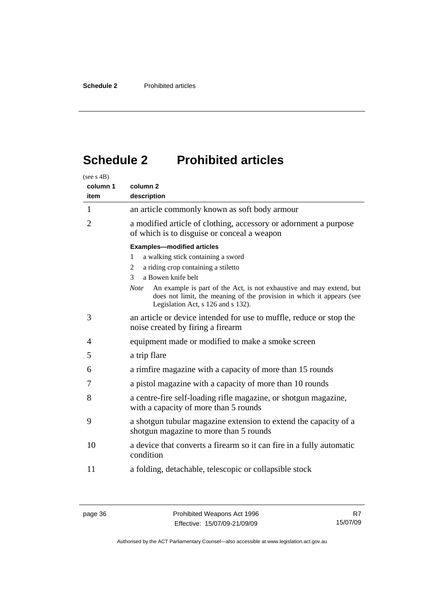# <span id="page-41-0"></span>**Schedule 2 Prohibited articles**

| (see s 4B)     |                                                                                                                                                                                                    |  |  |
|----------------|----------------------------------------------------------------------------------------------------------------------------------------------------------------------------------------------------|--|--|
| column 1       | column <sub>2</sub>                                                                                                                                                                                |  |  |
| item           | description                                                                                                                                                                                        |  |  |
| 1              | an article commonly known as soft body armour                                                                                                                                                      |  |  |
| $\overline{2}$ | a modified article of clothing, accessory or adornment a purpose<br>of which is to disguise or conceal a weapon                                                                                    |  |  |
|                | <b>Examples-modified articles</b>                                                                                                                                                                  |  |  |
|                | a walking stick containing a sword<br>1                                                                                                                                                            |  |  |
|                | a riding crop containing a stiletto<br>2                                                                                                                                                           |  |  |
|                | a Bowen knife belt<br>3                                                                                                                                                                            |  |  |
|                | An example is part of the Act, is not exhaustive and may extend, but<br><b>Note</b><br>does not limit, the meaning of the provision in which it appears (see<br>Legislation Act, s 126 and s 132). |  |  |
| 3              | an article or device intended for use to muffle, reduce or stop the<br>noise created by firing a firearm                                                                                           |  |  |
| 4              | equipment made or modified to make a smoke screen                                                                                                                                                  |  |  |
| 5              | a trip flare                                                                                                                                                                                       |  |  |
| 6              | a rimfire magazine with a capacity of more than 15 rounds                                                                                                                                          |  |  |
| 7              | a pistol magazine with a capacity of more than 10 rounds                                                                                                                                           |  |  |
| 8              | a centre-fire self-loading rifle magazine, or shotgun magazine,<br>with a capacity of more than 5 rounds                                                                                           |  |  |
| 9              | a shotgun tubular magazine extension to extend the capacity of a<br>shotgun magazine to more than 5 rounds                                                                                         |  |  |
| 10             | a device that converts a firearm so it can fire in a fully automatic<br>condition                                                                                                                  |  |  |
| 11             | a folding, detachable, telescopic or collapsible stock                                                                                                                                             |  |  |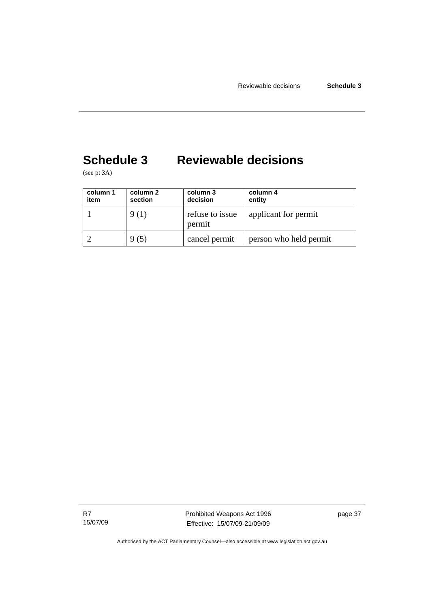# <span id="page-42-0"></span>**Schedule 3 Reviewable decisions**

(see pt 3A)

| column 1<br>item | column 2<br>section | column 3<br>decision      | column 4<br>entity     |
|------------------|---------------------|---------------------------|------------------------|
|                  | 9 (1)               | refuse to issue<br>permit | applicant for permit   |
|                  | 9 (5)               | cancel permit             | person who held permit |

R7 15/07/09 Prohibited Weapons Act 1996 Effective: 15/07/09-21/09/09

page 37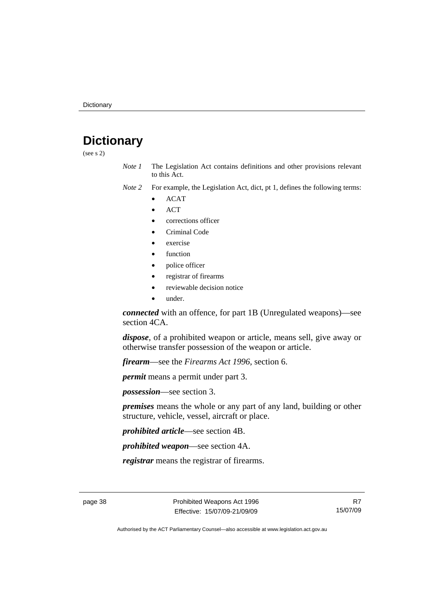# <span id="page-43-0"></span>**Dictionary**

(see s 2)

- *Note 1* The Legislation Act contains definitions and other provisions relevant to this Act.
- *Note 2* For example, the Legislation Act, dict, pt 1, defines the following terms:
	- ACAT
	- ACT
	- corrections officer
	- Criminal Code
	- exercise
	- **function**
	- police officer
	- registrar of firearms
	- reviewable decision notice
	- under.

*connected* with an offence, for part 1B (Unregulated weapons)—see section 4CA.

*dispose*, of a prohibited weapon or article, means sell, give away or otherwise transfer possession of the weapon or article.

*firearm*—see the *Firearms Act 1996*, section 6.

*permit* means a permit under part 3.

*possession*—see section 3.

*premises* means the whole or any part of any land, building or other structure, vehicle, vessel, aircraft or place.

*prohibited article*—see section 4B.

*prohibited weapon*—see section 4A.

*registrar* means the registrar of firearms.

R7 15/07/09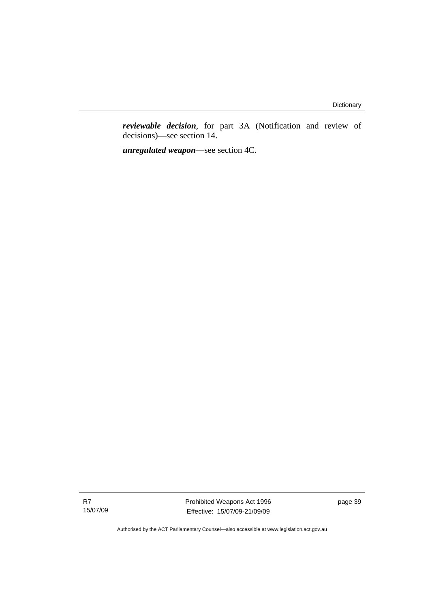*reviewable decision*, for part 3A (Notification and review of decisions)—see section 14.

*unregulated weapon*—see section 4C.

R7 15/07/09 Prohibited Weapons Act 1996 Effective: 15/07/09-21/09/09

page 39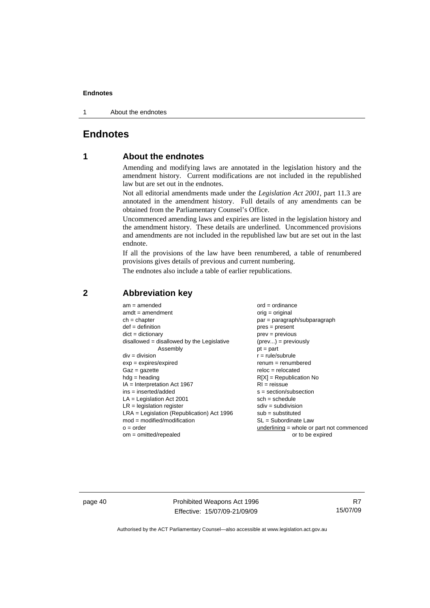<span id="page-45-0"></span>1 About the endnotes

#### **Endnotes**

#### **1 About the endnotes**

Amending and modifying laws are annotated in the legislation history and the amendment history. Current modifications are not included in the republished law but are set out in the endnotes.

Not all editorial amendments made under the *Legislation Act 2001*, part 11.3 are annotated in the amendment history. Full details of any amendments can be obtained from the Parliamentary Counsel's Office.

Uncommenced amending laws and expiries are listed in the legislation history and the amendment history. These details are underlined. Uncommenced provisions and amendments are not included in the republished law but are set out in the last endnote.

If all the provisions of the law have been renumbered, a table of renumbered provisions gives details of previous and current numbering.

The endnotes also include a table of earlier republications.

| $am = amended$                                                                                                                                             | $ord = ordinance$                                                                       |
|------------------------------------------------------------------------------------------------------------------------------------------------------------|-----------------------------------------------------------------------------------------|
| $amdt = amendment$                                                                                                                                         | $orig = original$                                                                       |
| $ch = chapter$                                                                                                                                             | par = paragraph/subparagraph                                                            |
| $def = definition$                                                                                                                                         | $pres = present$                                                                        |
| $dict = dictionary$                                                                                                                                        | $prev = previous$                                                                       |
| $disallowed = disallowed by the Legislative$                                                                                                               | $(\text{prev}) = \text{previously}$                                                     |
| Assembly                                                                                                                                                   | $pt = part$                                                                             |
| $div = division$                                                                                                                                           | $r = rule/subrule$                                                                      |
| $exp = expires/expired$                                                                                                                                    | $renum = renumbered$                                                                    |
| $Gaz = gazette$                                                                                                                                            | $reloc = relocated$                                                                     |
| $h dq =$ heading                                                                                                                                           | $R[X]$ = Republication No                                                               |
| $IA = Interpretation Act 1967$                                                                                                                             | $RI = reissue$                                                                          |
| $ins = inserted/added$                                                                                                                                     | $s = section/subsection$                                                                |
| $LA =$ Legislation Act 2001<br>$LR =$ legislation register<br>$LRA =$ Legislation (Republication) Act 1996<br>$mod = modified/modification$<br>$o = order$ | $sch = schedule$<br>$sdiv = subdivision$<br>$sub =$ substituted<br>SL = Subordinate Law |
| $om = omitted/repealed$                                                                                                                                    | underlining = whole or part not commenced<br>or to be expired                           |

#### **2 Abbreviation key**

page 40 **Prohibited Weapons Act 1996** Effective: 15/07/09-21/09/09

R7 15/07/09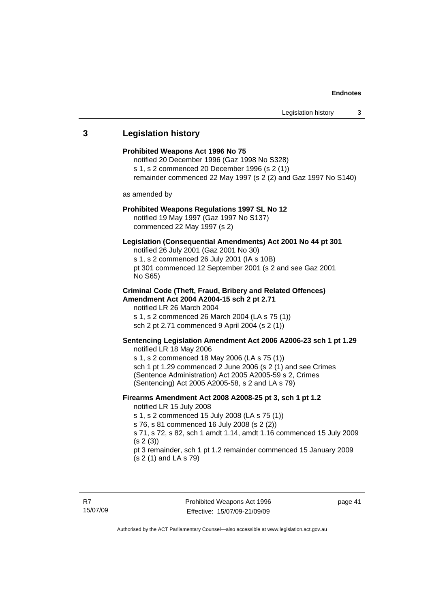### <span id="page-46-0"></span>**3 Legislation history**

| <b>Prohibited Weapons Act 1996 No 75</b><br>notified 20 December 1996 (Gaz 1998 No S328)<br>s 1, s 2 commenced 20 December 1996 (s 2 (1))<br>remainder commenced 22 May 1997 (s 2 (2) and Gaz 1997 No S140)                                                                                                                                                         |
|---------------------------------------------------------------------------------------------------------------------------------------------------------------------------------------------------------------------------------------------------------------------------------------------------------------------------------------------------------------------|
| as amended by                                                                                                                                                                                                                                                                                                                                                       |
| Prohibited Weapons Regulations 1997 SL No 12<br>notified 19 May 1997 (Gaz 1997 No S137)<br>commenced 22 May 1997 (s 2)                                                                                                                                                                                                                                              |
| Legislation (Consequential Amendments) Act 2001 No 44 pt 301<br>notified 26 July 2001 (Gaz 2001 No 30)<br>s 1, s 2 commenced 26 July 2001 (IA s 10B)<br>pt 301 commenced 12 September 2001 (s 2 and see Gaz 2001<br>No S65)                                                                                                                                         |
| <b>Criminal Code (Theft, Fraud, Bribery and Related Offences)</b><br>Amendment Act 2004 A2004-15 sch 2 pt 2.71<br>notified LR 26 March 2004<br>s 1, s 2 commenced 26 March 2004 (LA s 75 (1))<br>sch 2 pt 2.71 commenced 9 April 2004 (s 2 (1))                                                                                                                     |
| Sentencing Legislation Amendment Act 2006 A2006-23 sch 1 pt 1.29<br>notified LR 18 May 2006<br>s 1, s 2 commenced 18 May 2006 (LA s 75 (1))<br>sch 1 pt 1.29 commenced 2 June 2006 (s 2 (1) and see Crimes<br>(Sentence Administration) Act 2005 A2005-59 s 2, Crimes<br>(Sentencing) Act 2005 A2005-58, s 2 and LA s 79)                                           |
| Firearms Amendment Act 2008 A2008-25 pt 3, sch 1 pt 1.2<br>notified LR 15 July 2008<br>s 1, s 2 commenced 15 July 2008 (LA s 75 (1))<br>s 76, s 81 commenced 16 July 2008 (s 2 (2))<br>s 71, s 72, s 82, sch 1 amdt 1.14, amdt 1.16 commenced 15 July 2009<br>(s 2(3))<br>pt 3 remainder, sch 1 pt 1.2 remainder commenced 15 January 2009<br>(s 2 (1) and LA s 79) |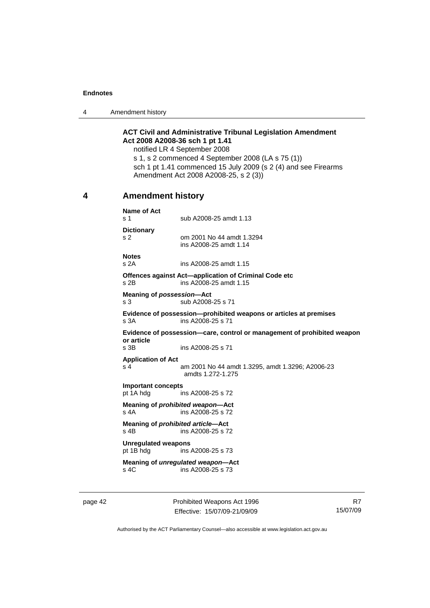<span id="page-47-0"></span>4 Amendment history

#### **ACT Civil and Administrative Tribunal Legislation Amendment Act 2008 A2008-36 sch 1 pt 1.41**

notified LR 4 September 2008

s 1, s 2 commenced 4 September 2008 (LA s 75 (1)) sch 1 pt 1.41 commenced 15 July 2009 (s 2 (4) and see Firearms Amendment Act 2008 A2008-25, s 2 (3))

# **4 Amendment history**

| Name of Act<br>s 1                                 | sub A2008-25 amdt 1.13                                                                       |
|----------------------------------------------------|----------------------------------------------------------------------------------------------|
| <b>Dictionary</b><br>s <sub>2</sub>                | om 2001 No 44 amdt 1.3294<br>ins A2008-25 amdt 1.14                                          |
| <b>Notes</b><br>S <sub>2A</sub>                    | ins A2008-25 amdt 1.15                                                                       |
| s <sub>2B</sub>                                    | Offences against Act—application of Criminal Code etc<br>ins A2008-25 amdt 1.15              |
| <b>Meaning of possession-Act</b><br>s <sub>3</sub> | sub A2008-25 s 71                                                                            |
| s <sub>3A</sub>                                    | Evidence of possession--prohibited weapons or articles at premises<br>ins A2008-25 s 71      |
| or article<br>$s$ 3B                               | Evidence of possession-care, control or management of prohibited weapon<br>ins A2008-25 s 71 |
| <b>Application of Act</b><br>s <sub>4</sub>        | am 2001 No 44 amdt 1.3295, amdt 1.3296; A2006-23<br>amdts 1.272-1.275                        |
| <b>Important concepts</b><br>pt 1A hdg             | ins A2008-25 s 72                                                                            |
| s 4A                                               | Meaning of prohibited weapon-Act<br>ins A2008-25 s 72                                        |
| $s$ 4B                                             | Meaning of <i>prohibited article</i> —Act<br>ins A2008-25 s 72                               |
| <b>Unregulated weapons</b><br>pt 1B hdg            | ins A2008-25 s 73                                                                            |
| $s$ 4 $C$                                          | Meaning of unregulated weapon-Act<br>ins A2008-25 s 73                                       |

page 42 Prohibited Weapons Act 1996 Effective: 15/07/09-21/09/09

R7 15/07/09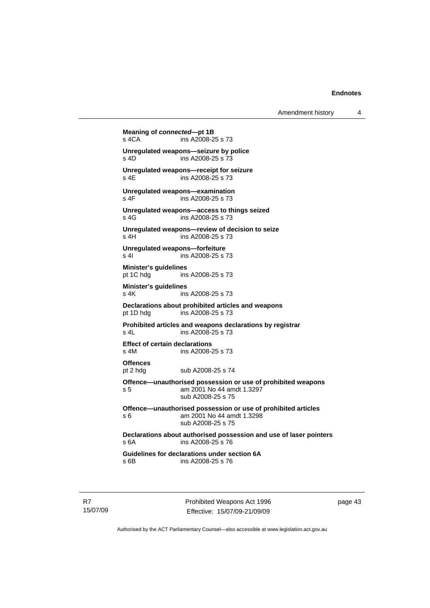**Meaning of** *connected***—pt 1B**  s 4CA ins A2008-25 s 73 **Unregulated weapons—seizure by police**  s 4D ins A2008-25 s 73 **Unregulated weapons—receipt for seizure**  s 4E ins A2008-25 s 73 **Unregulated weapons—examination**  ins A2008-25 s 73 **Unregulated weapons—access to things seized**  s 4G ins A2008-25 s 73 **Unregulated weapons—review of decision to seize**  s 4H ins A2008-25 s 73 **Unregulated weapons—forfeiture**  ins A2008-25 s 73 **Minister's guidelines**  pt 1C hdg ins A2008-25 s 73 **Minister's guidelines**  s 4K ins A2008-25 s 73 **Declarations about prohibited articles and weapons**   $ins$  A2008-25 s 73 **Prohibited articles and weapons declarations by registrar**  s 4L ins A2008-25 s 73 **Effect of certain declarations**<br>s 4M **ins A2008-**2 ins A2008-25 s 73 **Offences**  pt 2 hdg sub A2008-25 s 74 **Offence—unauthorised possession or use of prohibited weapons**  s 5 am 2001 No 44 amdt 1.3297 sub A2008-25 s 75 **Offence—unauthorised possession or use of prohibited articles**<br>s 6 am 2001 No 44 amdt 1.3298 am 2001 No 44 amdt 1.3298 sub A2008-25 s 75 **Declarations about authorised possession and use of laser pointers**  s 6A ins A2008-25 s 76 **Guidelines for declarations under section 6A**  ins A2008-25 s 76

R7 15/07/09 Prohibited Weapons Act 1996 Effective: 15/07/09-21/09/09

page 43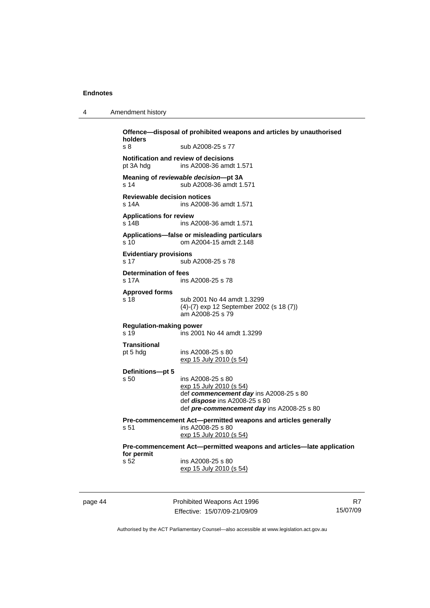| $\overline{4}$ | Amendment history |
|----------------|-------------------|
|----------------|-------------------|

**Offence—disposal of prohibited weapons and articles by unauthorised holders**  sub A2008-25 s 77 **Notification and review of decisions**  pt 3A hdg ins A2008-36 amdt 1.571 **Meaning of** *reviewable decision—***pt 3A**  s 14 sub A2008-36 amdt 1.571 **Reviewable decision notices**  s 14A ins A2008-36 amdt 1.571 **Applications for review**  ins A2008-36 amdt 1.571 **Applications—false or misleading particulars**  s 10 om A2004-15 amdt 2.148 **Evidentiary provisions**  s 17 sub A2008-25 s 78 **Determination of fees**<br>s 17A ins ins A2008-25 s 78 **Approved forms**  s 18 sub 2001 No 44 amdt 1.3299 (4)-(7) exp 12 September 2002 (s 18 (7)) am A2008-25 s 79 **Regulation-making power**  s 19 ins 2001 No 44 amdt 1.3299 **Transitional**  pt 5 hdg ins A2008-25 s 80 exp 15 July 2010 (s 54) **Definitions—pt 5**  s 50 ins A2008-25 s 80 exp 15 July 2010 (s 54) def *commencement day* ins A2008-25 s 80 def *dispose* ins A2008-25 s 80 def *pre*-*commencement day* ins A2008-25 s 80 **Pre-commencement Act—permitted weapons and articles generally**  s 51 ins A2008-25 s 80 exp 15 July 2010 (s 54) **Pre-commencement Act—permitted weapons and articles—late application for permit**  ins A2008-25 s 80 exp 15 July 2010 (s 54)

page 44 **Prohibited Weapons Act 1996** Effective: 15/07/09-21/09/09

R7 15/07/09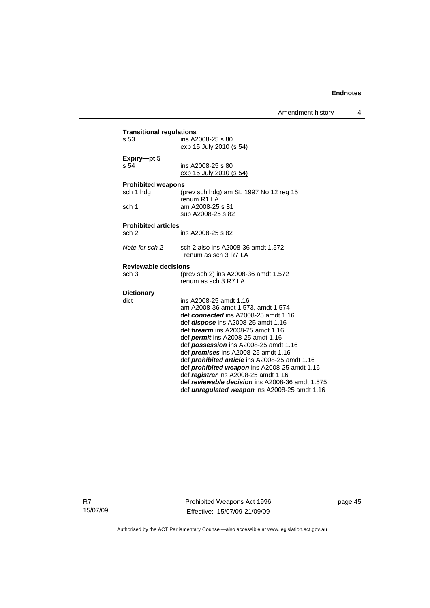| <b>Transitional regulations</b> |                                                                                       |  |
|---------------------------------|---------------------------------------------------------------------------------------|--|
| s 53<br>ins A2008-25 s 80       |                                                                                       |  |
|                                 | <u>exp 15 July 2010 (s 54)</u>                                                        |  |
| Expiry-pt 5                     |                                                                                       |  |
| s 54                            | ins A2008-25 s 80                                                                     |  |
|                                 | <u>exp 15 July 2010 (s 54)</u>                                                        |  |
| <b>Prohibited weapons</b>       |                                                                                       |  |
| sch 1 hdg                       | (prev sch hdg) am SL 1997 No 12 reg 15                                                |  |
|                                 | renum R1 LA                                                                           |  |
| sch 1                           | am A2008-25 s 81<br>sub A2008-25 s 82                                                 |  |
|                                 |                                                                                       |  |
| <b>Prohibited articles</b>      |                                                                                       |  |
| sch 2                           | ins A2008-25 s 82                                                                     |  |
| Note for sch 2                  | sch 2 also ins A2008-36 amdt 1.572<br>renum as sch 3 R7 LA                            |  |
| <b>Reviewable decisions</b>     |                                                                                       |  |
| sch 3                           | (prev sch 2) ins A2008-36 amdt 1.572                                                  |  |
|                                 | renum as sch 3 R7 LA                                                                  |  |
| <b>Dictionary</b>               |                                                                                       |  |
| dict                            | ins A2008-25 amdt 1.16                                                                |  |
|                                 | am A2008-36 amdt 1.573, amdt 1.574                                                    |  |
|                                 | def connected ins A2008-25 amdt 1.16                                                  |  |
|                                 | def <i>dispose</i> ins A2008-25 amdt 1.16                                             |  |
|                                 | def <i>firearm</i> ins A2008-25 amdt 1.16<br>def <i>permit</i> ins A2008-25 amdt 1.16 |  |
|                                 | def <i>possession</i> ins A2008-25 amdt 1.16                                          |  |
|                                 | def <i>premises</i> ins A2008-25 amdt 1.16                                            |  |
|                                 | def <b>prohibited article</b> ins A2008-25 amdt 1.16                                  |  |
|                                 | def <i>prohibited</i> weapon ins A2008-25 amdt 1.16                                   |  |
|                                 | def registrar ins A2008-25 amdt 1.16                                                  |  |
|                                 | def reviewable decision ins A2008-36 amdt 1.575                                       |  |
|                                 | def <i>unregulated weapon</i> ins A2008-25 amdt 1.16                                  |  |

R7 15/07/09 Prohibited Weapons Act 1996 Effective: 15/07/09-21/09/09

page 45